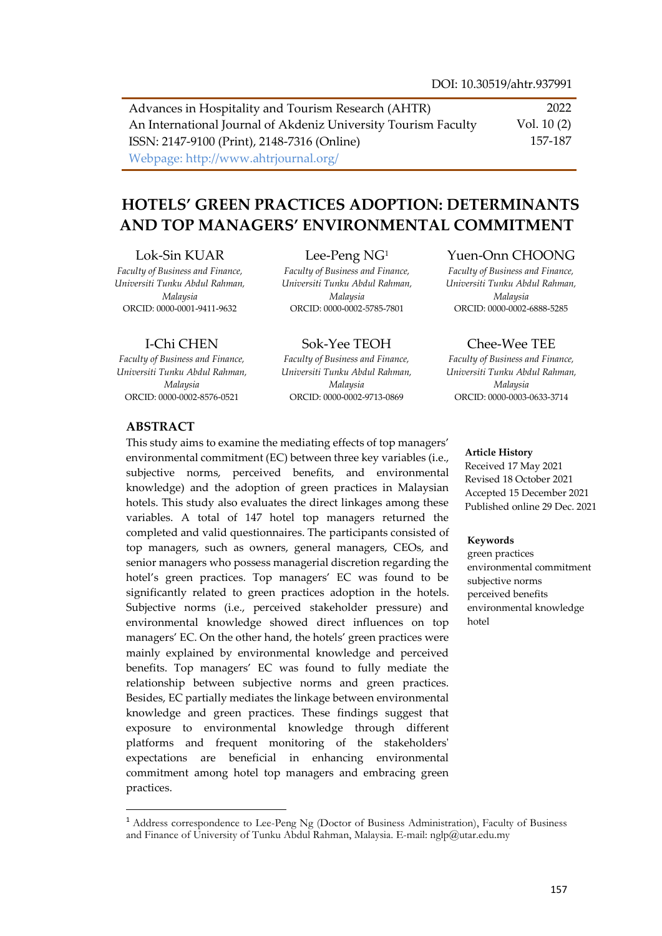Advances in Hospitality and Tourism Research (AHTR) An International Journal of Akdeniz University Tourism Faculty ISSN: 2147-9100 (Print), 2148-7316 (Online) Webpage: http://www.ahtrjournal.org/ 2022 Vol. 10 (2) 157-187

# **HOTELS' GREEN PRACTICES ADOPTION: DETERMINANTS AND TOP MANAGERS' ENVIRONMENTAL COMMITMENT**

#### Lok-Sin KUAR

*Faculty of Business and Finance, Universiti Tunku Abdul Rahman, Malaysia* ORCID: 0000-0001-9411-9632

#### I-Chi CHEN

*Faculty of Business and Finance, Universiti Tunku Abdul Rahman, Malaysia* ORCID: 0000-0002-8576-0521

#### Lee-Peng NG<sup>1</sup> *Faculty of Business and Finance,*

*Universiti Tunku Abdul Rahman, Malaysia* ORCID: 0000-0002-5785-7801

Sok-Yee TEOH *Faculty of Business and Finance, Universiti Tunku Abdul Rahman, Malaysia* ORCID: 0000-0002-9713-0869

#### Yuen-Onn CHOONG

*Faculty of Business and Finance, Universiti Tunku Abdul Rahman, Malaysia* ORCID: 0000-0002-6888-5285

#### Chee-Wee TEE

*Faculty of Business and Finance, Universiti Tunku Abdul Rahman, Malaysia* ORCID: 0000-0003-0633-3714

#### **ABSTRACT**

 $\overline{a}$ 

This study aims to examine the mediating effects of top managers' environmental commitment (EC) between three key variables (i.e., subjective norms, perceived benefits, and environmental knowledge) and the adoption of green practices in Malaysian hotels. This study also evaluates the direct linkages among these variables. A total of 147 hotel top managers returned the completed and valid questionnaires. The participants consisted of top managers, such as owners, general managers, CEOs, and senior managers who possess managerial discretion regarding the hotel's green practices. Top managers' EC was found to be significantly related to green practices adoption in the hotels. Subjective norms (i.e., perceived stakeholder pressure) and environmental knowledge showed direct influences on top managers' EC. On the other hand, the hotels' green practices were mainly explained by environmental knowledge and perceived benefits. Top managers' EC was found to fully mediate the relationship between subjective norms and green practices. Besides, EC partially mediates the linkage between environmental knowledge and green practices. These findings suggest that exposure to environmental knowledge through different platforms and frequent monitoring of the stakeholders' expectations are beneficial in enhancing environmental commitment among hotel top managers and embracing green practices.

#### **Article History**

Received 17 May 2021 Revised 18 October 2021 Accepted 15 December 2021 Published online 29 Dec. 2021

#### **Keywords**

green practices environmental commitment subjective norms perceived benefits environmental knowledge hotel

<sup>&</sup>lt;sup>1</sup> Address correspondence to Lee-Peng Ng (Doctor of Business Administration), Faculty of Business and Finance of University of Tunku Abdul Rahman, Malaysia. E-mail: nglp@utar.edu.my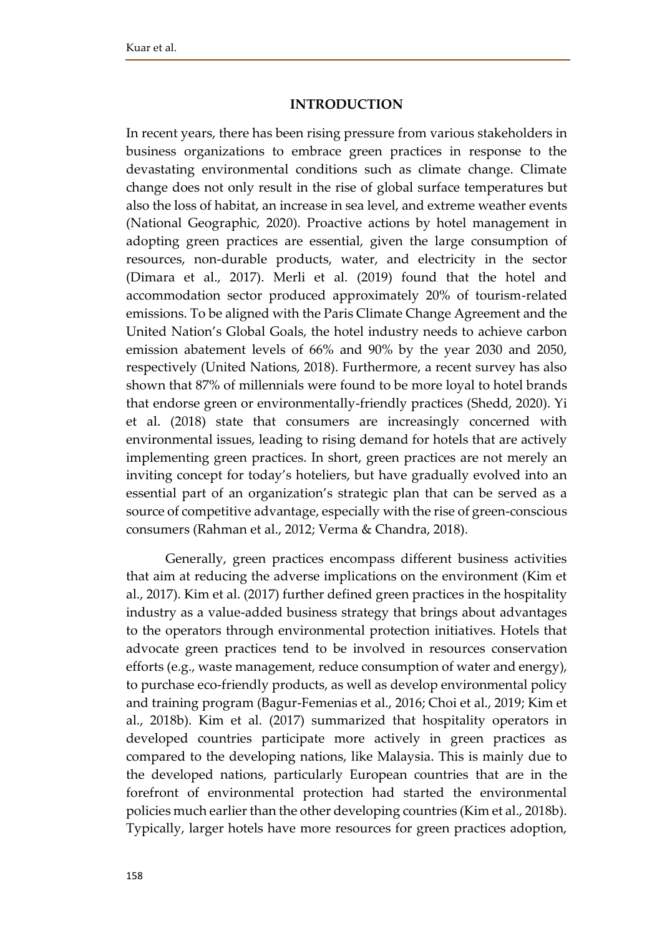#### **INTRODUCTION**

In recent years, there has been rising pressure from various stakeholders in business organizations to embrace green practices in response to the devastating environmental conditions such as climate change. Climate change does not only result in the rise of global surface temperatures but also the loss of habitat, an increase in sea level, and extreme weather events (National Geographic, 2020). Proactive actions by hotel management in adopting green practices are essential, given the large consumption of resources, non-durable products, water, and electricity in the sector (Dimara et al., 2017). Merli et al. (2019) found that the hotel and accommodation sector produced approximately 20% of tourism-related emissions. To be aligned with the Paris Climate Change Agreement and the United Nation's Global Goals, the hotel industry needs to achieve carbon emission abatement levels of 66% and 90% by the year 2030 and 2050, respectively (United Nations, 2018). Furthermore, a recent survey has also shown that 87% of millennials were found to be more loyal to hotel brands that endorse green or environmentally-friendly practices (Shedd, 2020). Yi et al. (2018) state that consumers are increasingly concerned with environmental issues, leading to rising demand for hotels that are actively implementing green practices. In short, green practices are not merely an inviting concept for today's hoteliers, but have gradually evolved into an essential part of an organization's strategic plan that can be served as a source of competitive advantage, especially with the rise of green-conscious consumers (Rahman et al., 2012; Verma & Chandra, 2018).

Generally, green practices encompass different business activities that aim at reducing the adverse implications on the environment (Kim et al., 2017). Kim et al. (2017) further defined green practices in the hospitality industry as a value-added business strategy that brings about advantages to the operators through environmental protection initiatives. Hotels that advocate green practices tend to be involved in resources conservation efforts (e.g., waste management, reduce consumption of water and energy), to purchase eco-friendly products, as well as develop environmental policy and training program (Bagur-Femenias et al., 2016; Choi et al., 2019; Kim et al., 2018b). Kim et al. (2017) summarized that hospitality operators in developed countries participate more actively in green practices as compared to the developing nations, like Malaysia. This is mainly due to the developed nations, particularly European countries that are in the forefront of environmental protection had started the environmental policies much earlier than the other developing countries (Kim et al., 2018b). Typically, larger hotels have more resources for green practices adoption,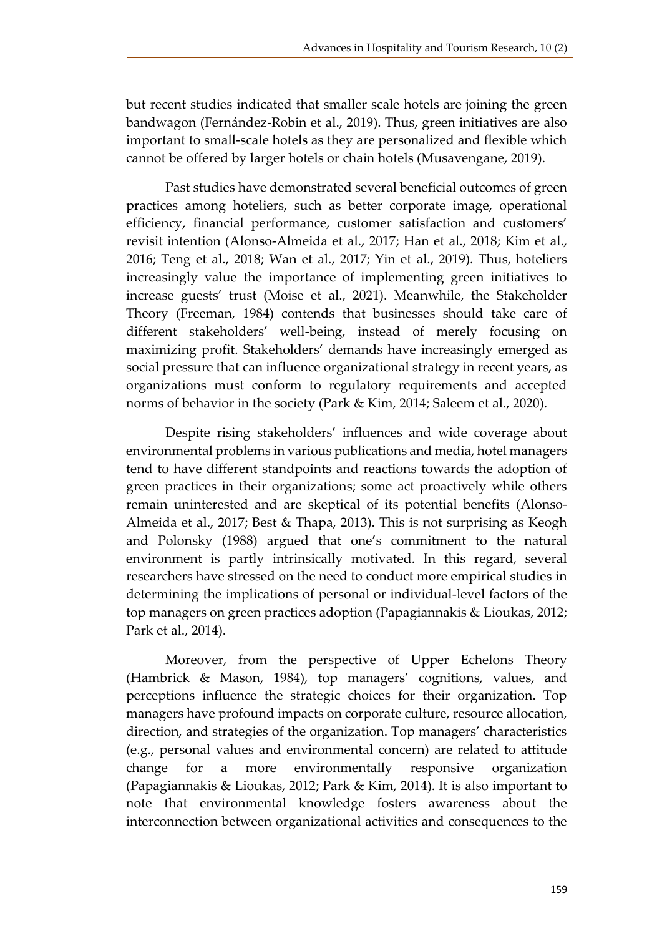but recent studies indicated that smaller scale hotels are joining the green bandwagon (Fernández-Robin et al., 2019). Thus, green initiatives are also important to small-scale hotels as they are personalized and flexible which cannot be offered by larger hotels or chain hotels (Musavengane, 2019).

Past studies have demonstrated several beneficial outcomes of green practices among hoteliers, such as better corporate image, operational efficiency, financial performance, customer satisfaction and customers' revisit intention (Alonso-Almeida et al., 2017; Han et al., 2018; Kim et al., 2016; Teng et al., 2018; Wan et al., 2017; Yin et al., 2019). Thus, hoteliers increasingly value the importance of implementing green initiatives to increase guests' trust (Moise et al., 2021). Meanwhile, the Stakeholder Theory (Freeman, 1984) contends that businesses should take care of different stakeholders' well-being, instead of merely focusing on maximizing profit. Stakeholders' demands have increasingly emerged as social pressure that can influence organizational strategy in recent years, as organizations must conform to regulatory requirements and accepted norms of behavior in the society (Park & Kim, 2014; Saleem et al., 2020).

Despite rising stakeholders' influences and wide coverage about environmental problems in various publications and media, hotel managers tend to have different standpoints and reactions towards the adoption of green practices in their organizations; some act proactively while others remain uninterested and are skeptical of its potential benefits (Alonso-Almeida et al., 2017; Best & Thapa, 2013). This is not surprising as Keogh and Polonsky (1988) argued that one's commitment to the natural environment is partly intrinsically motivated. In this regard, several researchers have stressed on the need to conduct more empirical studies in determining the implications of personal or individual-level factors of the top managers on green practices adoption (Papagiannakis & Lioukas, 2012; Park et al., 2014).

Moreover, from the perspective of Upper Echelons Theory (Hambrick & Mason, 1984), top managers' cognitions, values, and perceptions influence the strategic choices for their organization. Top managers have profound impacts on corporate culture, resource allocation, direction, and strategies of the organization. Top managers' characteristics (e.g., personal values and environmental concern) are related to attitude change for a more environmentally responsive organization (Papagiannakis & Lioukas, 2012; Park & Kim, 2014). It is also important to note that environmental knowledge fosters awareness about the interconnection between organizational activities and consequences to the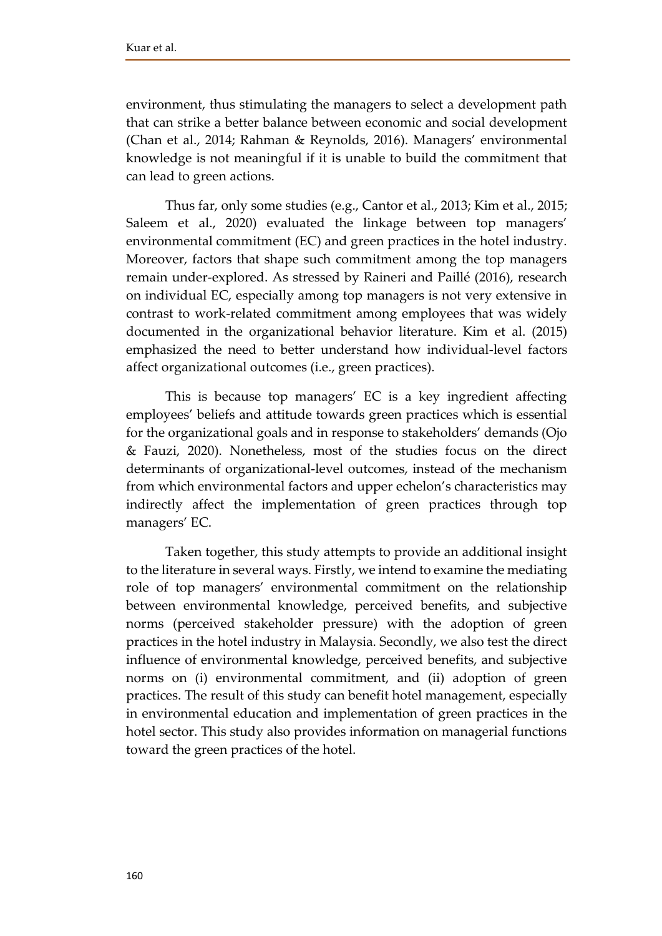environment, thus stimulating the managers to select a development path that can strike a better balance between economic and social development (Chan et al., 2014; Rahman & Reynolds, 2016). Managers' environmental knowledge is not meaningful if it is unable to build the commitment that can lead to green actions.

Thus far, only some studies (e.g., Cantor et al., 2013; Kim et al., 2015; Saleem et al., 2020) evaluated the linkage between top managers' environmental commitment (EC) and green practices in the hotel industry. Moreover, factors that shape such commitment among the top managers remain under-explored. As stressed by Raineri and Paillé (2016), research on individual EC, especially among top managers is not very extensive in contrast to work-related commitment among employees that was widely documented in the organizational behavior literature. Kim et al. (2015) emphasized the need to better understand how individual-level factors affect organizational outcomes (i.e., green practices).

This is because top managers' EC is a key ingredient affecting employees' beliefs and attitude towards green practices which is essential for the organizational goals and in response to stakeholders' demands (Ojo & Fauzi, 2020). Nonetheless, most of the studies focus on the direct determinants of organizational-level outcomes, instead of the mechanism from which environmental factors and upper echelon's characteristics may indirectly affect the implementation of green practices through top managers' EC.

Taken together, this study attempts to provide an additional insight to the literature in several ways. Firstly, we intend to examine the mediating role of top managers' environmental commitment on the relationship between environmental knowledge, perceived benefits, and subjective norms (perceived stakeholder pressure) with the adoption of green practices in the hotel industry in Malaysia. Secondly, we also test the direct influence of environmental knowledge, perceived benefits, and subjective norms on (i) environmental commitment, and (ii) adoption of green practices. The result of this study can benefit hotel management, especially in environmental education and implementation of green practices in the hotel sector. This study also provides information on managerial functions toward the green practices of the hotel.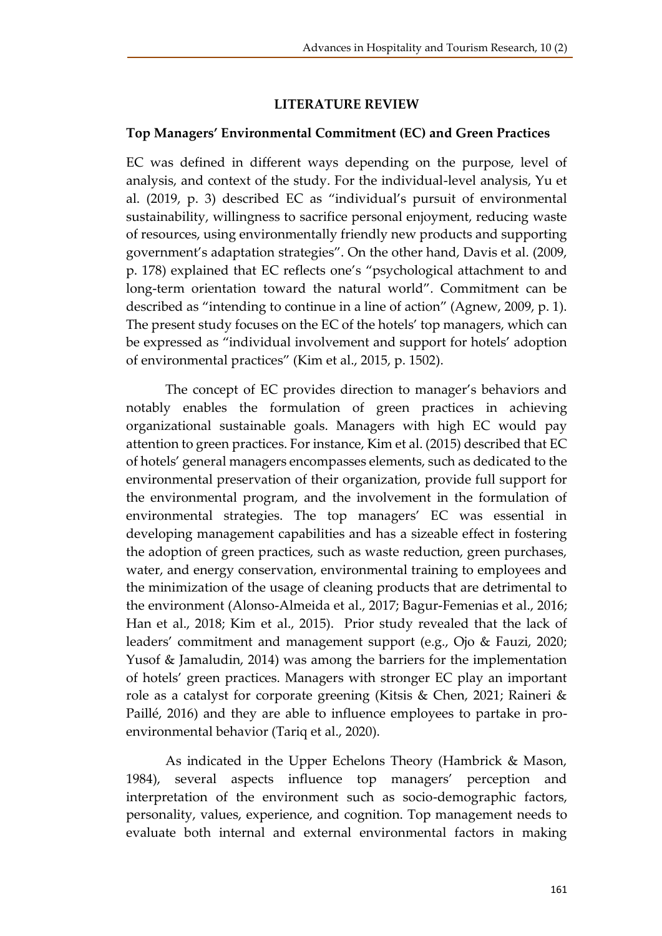## **LITERATURE REVIEW**

## **Top Managers' Environmental Commitment (EC) and Green Practices**

EC was defined in different ways depending on the purpose, level of analysis, and context of the study. For the individual-level analysis, Yu et al. (2019, p. 3) described EC as "individual's pursuit of environmental sustainability, willingness to sacrifice personal enjoyment, reducing waste of resources, using environmentally friendly new products and supporting government's adaptation strategies". On the other hand, Davis et al. (2009, p. 178) explained that EC reflects one's "psychological attachment to and long-term orientation toward the natural world". Commitment can be described as "intending to continue in a line of action" (Agnew, 2009, p. 1). The present study focuses on the EC of the hotels' top managers, which can be expressed as "individual involvement and support for hotels' adoption of environmental practices" (Kim et al., 2015, p. 1502).

The concept of EC provides direction to manager's behaviors and notably enables the formulation of green practices in achieving organizational sustainable goals. Managers with high EC would pay attention to green practices. For instance, Kim et al. (2015) described that EC of hotels' general managers encompasses elements, such as dedicated to the environmental preservation of their organization, provide full support for the environmental program, and the involvement in the formulation of environmental strategies. The top managers' EC was essential in developing management capabilities and has a sizeable effect in fostering the adoption of green practices, such as waste reduction, green purchases, water, and energy conservation, environmental training to employees and the minimization of the usage of cleaning products that are detrimental to the environment (Alonso-Almeida et al., 2017; Bagur-Femenias et al., 2016; Han et al., 2018; Kim et al., 2015). Prior study revealed that the lack of leaders' commitment and management support (e.g., Ojo & Fauzi, 2020; Yusof & Jamaludin, 2014) was among the barriers for the implementation of hotels' green practices. Managers with stronger EC play an important role as a catalyst for corporate greening (Kitsis & Chen, 2021; Raineri & Paillé, 2016) and they are able to influence employees to partake in proenvironmental behavior (Tariq et al., 2020).

As indicated in the Upper Echelons Theory (Hambrick & Mason, 1984), several aspects influence top managers' perception and interpretation of the environment such as socio-demographic factors, personality, values, experience, and cognition. Top management needs to evaluate both internal and external environmental factors in making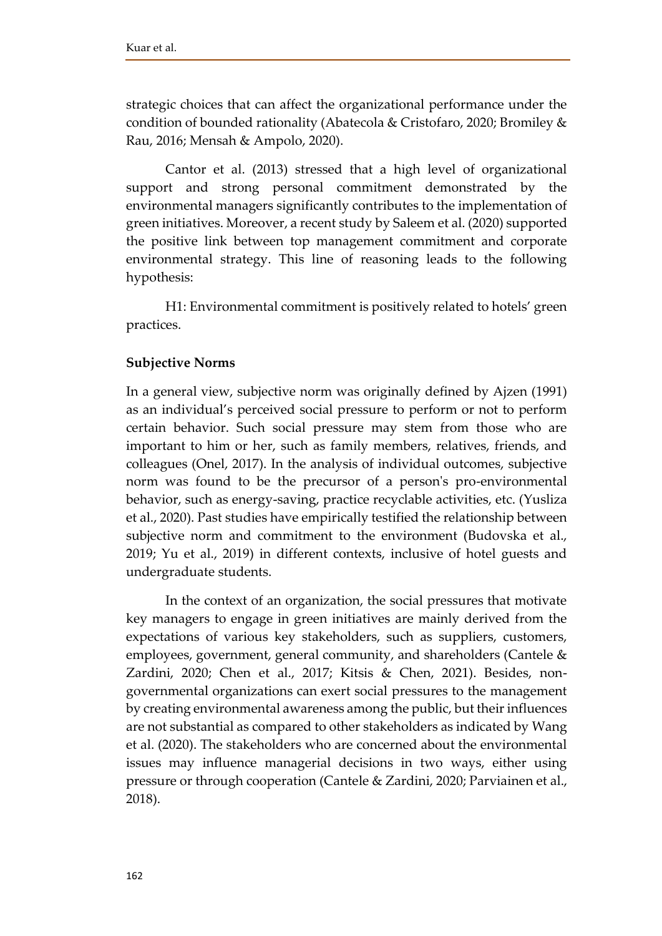strategic choices that can affect the organizational performance under the condition of bounded rationality (Abatecola & Cristofaro, 2020; Bromiley & Rau, 2016; Mensah & Ampolo, 2020).

Cantor et al. (2013) stressed that a high level of organizational support and strong personal commitment demonstrated by the environmental managers significantly contributes to the implementation of green initiatives. Moreover, a recent study by Saleem et al. (2020) supported the positive link between top management commitment and corporate environmental strategy. This line of reasoning leads to the following hypothesis:

H1: Environmental commitment is positively related to hotels' green practices.

## **Subjective Norms**

In a general view, subjective norm was originally defined by Ajzen (1991) as an individual's perceived social pressure to perform or not to perform certain behavior. Such social pressure may stem from those who are important to him or her, such as family members, relatives, friends, and colleagues (Onel, 2017). In the analysis of individual outcomes, subjective norm was found to be the precursor of a person's pro-environmental behavior, such as energy-saving, practice recyclable activities, etc. (Yusliza et al., 2020). Past studies have empirically testified the relationship between subjective norm and commitment to the environment (Budovska et al., 2019; Yu et al., 2019) in different contexts, inclusive of hotel guests and undergraduate students.

In the context of an organization, the social pressures that motivate key managers to engage in green initiatives are mainly derived from the expectations of various key stakeholders, such as suppliers, customers, employees, government, general community, and shareholders (Cantele & Zardini, 2020; Chen et al., 2017; Kitsis & Chen, 2021). Besides, nongovernmental organizations can exert social pressures to the management by creating environmental awareness among the public, but their influences are not substantial as compared to other stakeholders as indicated by Wang et al. (2020). The stakeholders who are concerned about the environmental issues may influence managerial decisions in two ways, either using pressure or through cooperation (Cantele & Zardini, 2020; Parviainen et al., 2018).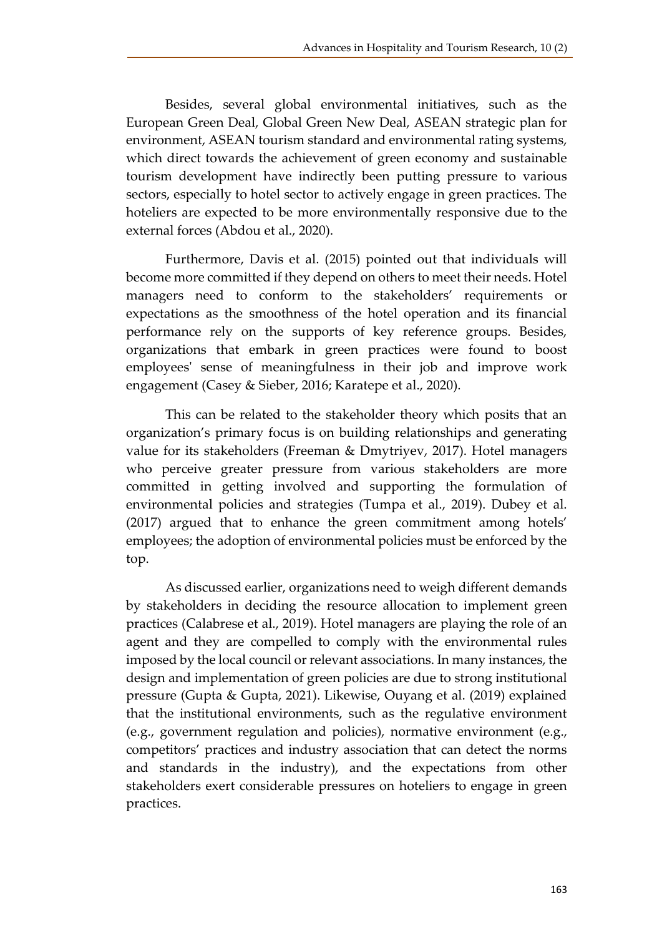Besides, several global environmental initiatives, such as the European Green Deal, Global Green New Deal, ASEAN strategic plan for environment, ASEAN tourism standard and environmental rating systems, which direct towards the achievement of green economy and sustainable tourism development have indirectly been putting pressure to various sectors, especially to hotel sector to actively engage in green practices. The hoteliers are expected to be more environmentally responsive due to the external forces (Abdou et al., 2020).

Furthermore, Davis et al. (2015) pointed out that individuals will become more committed if they depend on others to meet their needs. Hotel managers need to conform to the stakeholders' requirements or expectations as the smoothness of the hotel operation and its financial performance rely on the supports of key reference groups. Besides, organizations that embark in green practices were found to boost employees' sense of meaningfulness in their job and improve work engagement (Casey & Sieber, 2016; Karatepe et al., 2020).

This can be related to the stakeholder theory which posits that an organization's primary focus is on building relationships and generating value for its stakeholders (Freeman & Dmytriyev, 2017). Hotel managers who perceive greater pressure from various stakeholders are more committed in getting involved and supporting the formulation of environmental policies and strategies (Tumpa et al., 2019). Dubey et al. (2017) argued that to enhance the green commitment among hotels' employees; the adoption of environmental policies must be enforced by the top.

As discussed earlier, organizations need to weigh different demands by stakeholders in deciding the resource allocation to implement green practices (Calabrese et al., 2019). Hotel managers are playing the role of an agent and they are compelled to comply with the environmental rules imposed by the local council or relevant associations. In many instances, the design and implementation of green policies are due to strong institutional pressure (Gupta & Gupta, 2021). Likewise, Ouyang et al. (2019) explained that the institutional environments, such as the regulative environment (e.g., government regulation and policies), normative environment (e.g., competitors' practices and industry association that can detect the norms and standards in the industry), and the expectations from other stakeholders exert considerable pressures on hoteliers to engage in green practices.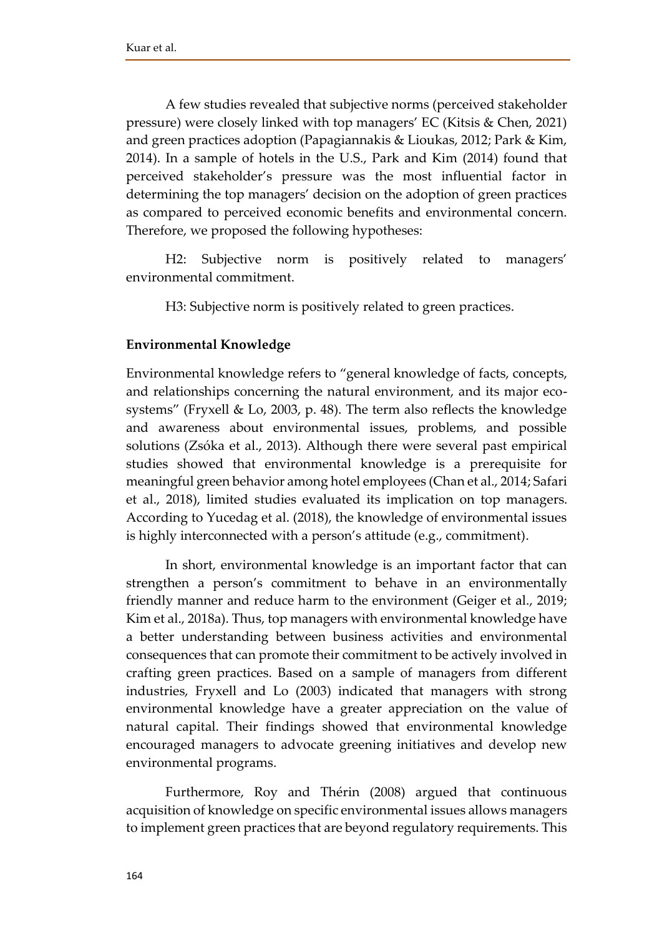A few studies revealed that subjective norms (perceived stakeholder pressure) were closely linked with top managers' EC (Kitsis & Chen, 2021) and green practices adoption (Papagiannakis & Lioukas, 2012; Park & Kim, 2014). In a sample of hotels in the U.S., Park and Kim (2014) found that perceived stakeholder's pressure was the most influential factor in determining the top managers' decision on the adoption of green practices as compared to perceived economic benefits and environmental concern. Therefore, we proposed the following hypotheses:

H2: Subjective norm is positively related to managers' environmental commitment.

H3: Subjective norm is positively related to green practices.

## **Environmental Knowledge**

Environmental knowledge refers to "general knowledge of facts, concepts, and relationships concerning the natural environment, and its major ecosystems" (Fryxell & Lo, 2003, p. 48). The term also reflects the knowledge and awareness about environmental issues, problems, and possible solutions (Zsóka et al., 2013). Although there were several past empirical studies showed that environmental knowledge is a prerequisite for meaningful green behavior among hotel employees (Chan et al., 2014; Safari et al., 2018), limited studies evaluated its implication on top managers. According to Yucedag et al. (2018), the knowledge of environmental issues is highly interconnected with a person's attitude (e.g., commitment).

In short, environmental knowledge is an important factor that can strengthen a person's commitment to behave in an environmentally friendly manner and reduce harm to the environment (Geiger et al., 2019; Kim et al., 2018a). Thus, top managers with environmental knowledge have a better understanding between business activities and environmental consequences that can promote their commitment to be actively involved in crafting green practices. Based on a sample of managers from different industries, Fryxell and Lo (2003) indicated that managers with strong environmental knowledge have a greater appreciation on the value of natural capital. Their findings showed that environmental knowledge encouraged managers to advocate greening initiatives and develop new environmental programs.

Furthermore, Roy and Thérin (2008) argued that continuous acquisition of knowledge on specific environmental issues allows managers to implement green practices that are beyond regulatory requirements. This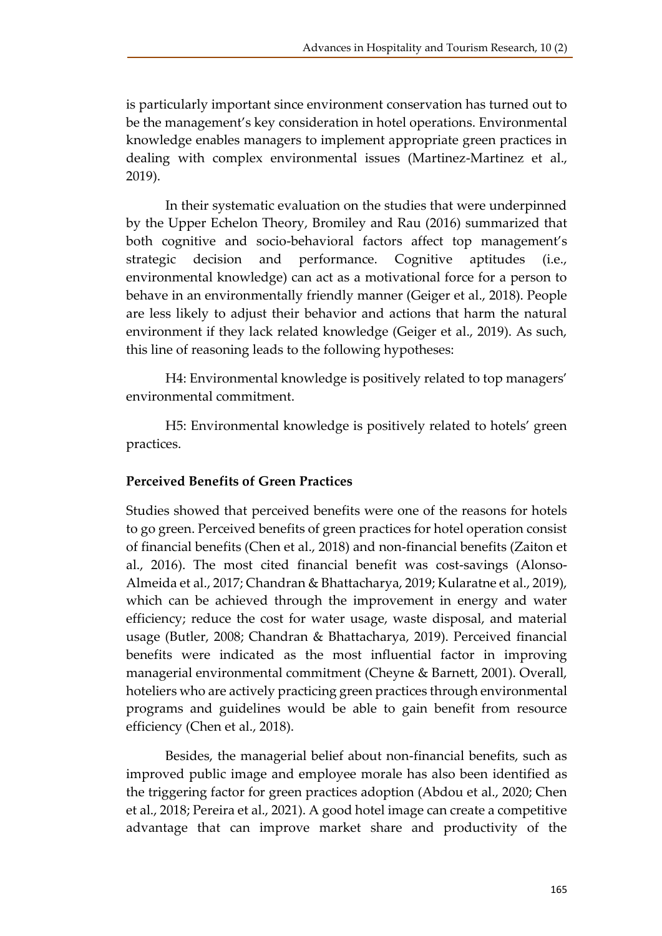is particularly important since environment conservation has turned out to be the management's key consideration in hotel operations. Environmental knowledge enables managers to implement appropriate green practices in dealing with complex environmental issues (Martinez-Martinez et al., 2019).

In their systematic evaluation on the studies that were underpinned by the Upper Echelon Theory, Bromiley and Rau (2016) summarized that both cognitive and socio-behavioral factors affect top management's strategic decision and performance. Cognitive aptitudes (i.e., environmental knowledge) can act as a motivational force for a person to behave in an environmentally friendly manner (Geiger et al., 2018). People are less likely to adjust their behavior and actions that harm the natural environment if they lack related knowledge (Geiger et al., 2019). As such, this line of reasoning leads to the following hypotheses:

H4: Environmental knowledge is positively related to top managers' environmental commitment.

H5: Environmental knowledge is positively related to hotels' green practices.

# **Perceived Benefits of Green Practices**

Studies showed that perceived benefits were one of the reasons for hotels to go green. Perceived benefits of green practices for hotel operation consist of financial benefits (Chen et al., 2018) and non-financial benefits (Zaiton et al., 2016). The most cited financial benefit was cost-savings (Alonso-Almeida et al., 2017; Chandran & Bhattacharya, 2019; Kularatne et al., 2019), which can be achieved through the improvement in energy and water efficiency; reduce the cost for water usage, waste disposal, and material usage (Butler, 2008; Chandran & Bhattacharya, 2019). Perceived financial benefits were indicated as the most influential factor in improving managerial environmental commitment (Cheyne & Barnett, 2001). Overall, hoteliers who are actively practicing green practices through environmental programs and guidelines would be able to gain benefit from resource efficiency (Chen et al., 2018).

Besides, the managerial belief about non-financial benefits, such as improved public image and employee morale has also been identified as the triggering factor for green practices adoption (Abdou et al., 2020; Chen et al., 2018; Pereira et al., 2021). A good hotel image can create a competitive advantage that can improve market share and productivity of the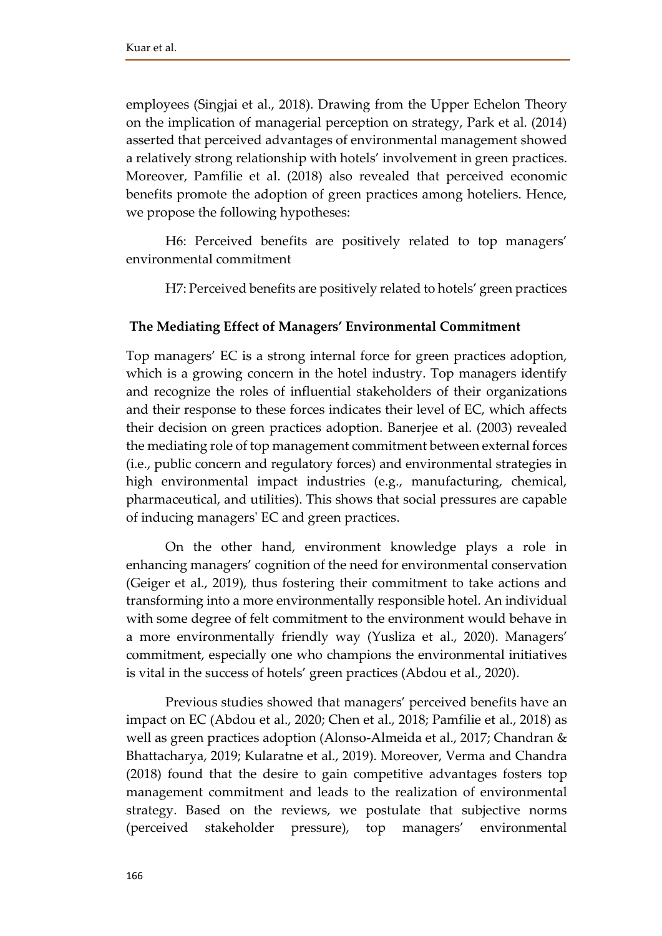employees (Singjai et al., 2018). Drawing from the Upper Echelon Theory on the implication of managerial perception on strategy, Park et al. (2014) asserted that perceived advantages of environmental management showed a relatively strong relationship with hotels' involvement in green practices. Moreover, Pamfilie et al. (2018) also revealed that perceived economic benefits promote the adoption of green practices among hoteliers. Hence, we propose the following hypotheses:

H6: Perceived benefits are positively related to top managers' environmental commitment

H7: Perceived benefits are positively related to hotels' green practices

## **The Mediating Effect of Managers' Environmental Commitment**

Top managers' EC is a strong internal force for green practices adoption, which is a growing concern in the hotel industry. Top managers identify and recognize the roles of influential stakeholders of their organizations and their response to these forces indicates their level of EC, which affects their decision on green practices adoption. Banerjee et al. (2003) revealed the mediating role of top management commitment between external forces (i.e., public concern and regulatory forces) and environmental strategies in high environmental impact industries (e.g., manufacturing, chemical, pharmaceutical, and utilities). This shows that social pressures are capable of inducing managers' EC and green practices.

On the other hand, environment knowledge plays a role in enhancing managers' cognition of the need for environmental conservation (Geiger et al., 2019), thus fostering their commitment to take actions and transforming into a more environmentally responsible hotel. An individual with some degree of felt commitment to the environment would behave in a more environmentally friendly way (Yusliza et al., 2020). Managers' commitment, especially one who champions the environmental initiatives is vital in the success of hotels' green practices (Abdou et al., 2020).

Previous studies showed that managers' perceived benefits have an impact on EC (Abdou et al., 2020; Chen et al., 2018; Pamfilie et al., 2018) as well as green practices adoption (Alonso-Almeida et al., 2017; Chandran & Bhattacharya, 2019; Kularatne et al., 2019). Moreover, Verma and Chandra (2018) found that the desire to gain competitive advantages fosters top management commitment and leads to the realization of environmental strategy. Based on the reviews, we postulate that subjective norms (perceived stakeholder pressure), top managers' environmental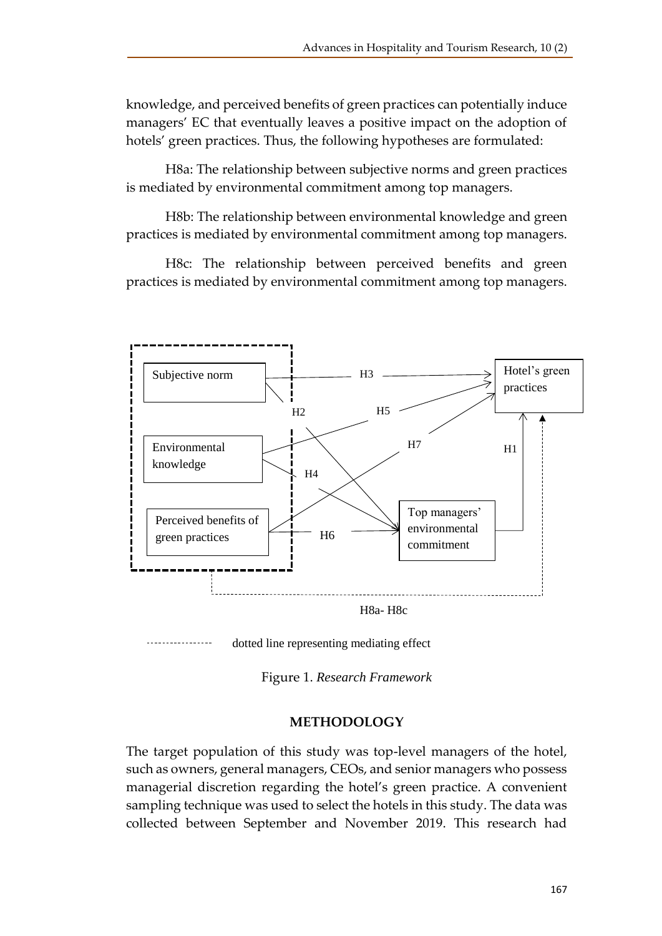knowledge, and perceived benefits of green practices can potentially induce managers' EC that eventually leaves a positive impact on the adoption of hotels' green practices. Thus, the following hypotheses are formulated:

H8a: The relationship between subjective norms and green practices is mediated by environmental commitment among top managers.

H8b: The relationship between environmental knowledge and green practices is mediated by environmental commitment among top managers.

H8c: The relationship between perceived benefits and green practices is mediated by environmental commitment among top managers.





Figure 1. *Research Framework*

#### **METHODOLOGY**

The target population of this study was top-level managers of the hotel, such as owners, general managers, CEOs, and senior managers who possess managerial discretion regarding the hotel's green practice. A convenient sampling technique was used to select the hotels in this study. The data was collected between September and November 2019. This research had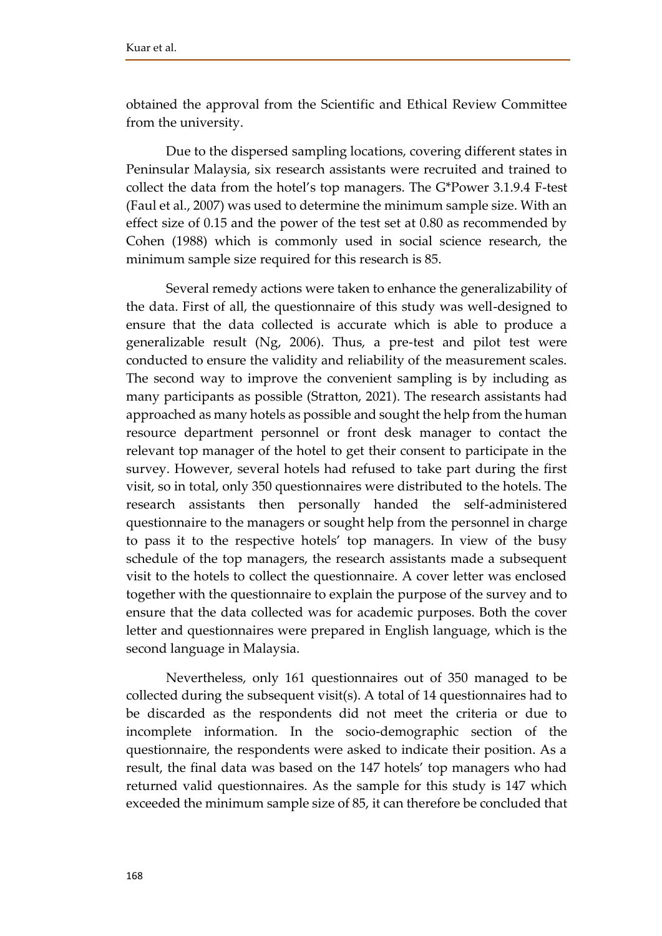obtained the approval from the Scientific and Ethical Review Committee from the university.

Due to the dispersed sampling locations, covering different states in Peninsular Malaysia, six research assistants were recruited and trained to collect the data from the hotel's top managers. The G\*Power 3.1.9.4 F-test (Faul et al., 2007) was used to determine the minimum sample size. With an effect size of 0.15 and the power of the test set at 0.80 as recommended by Cohen (1988) which is commonly used in social science research, the minimum sample size required for this research is 85.

Several remedy actions were taken to enhance the generalizability of the data. First of all, the questionnaire of this study was well-designed to ensure that the data collected is accurate which is able to produce a generalizable result (Ng, 2006). Thus, a pre-test and pilot test were conducted to ensure the validity and reliability of the measurement scales. The second way to improve the convenient sampling is by including as many participants as possible (Stratton, 2021). The research assistants had approached as many hotels as possible and sought the help from the human resource department personnel or front desk manager to contact the relevant top manager of the hotel to get their consent to participate in the survey. However, several hotels had refused to take part during the first visit, so in total, only 350 questionnaires were distributed to the hotels. The research assistants then personally handed the self-administered questionnaire to the managers or sought help from the personnel in charge to pass it to the respective hotels' top managers. In view of the busy schedule of the top managers, the research assistants made a subsequent visit to the hotels to collect the questionnaire. A cover letter was enclosed together with the questionnaire to explain the purpose of the survey and to ensure that the data collected was for academic purposes. Both the cover letter and questionnaires were prepared in English language, which is the second language in Malaysia.

Nevertheless, only 161 questionnaires out of 350 managed to be collected during the subsequent visit(s). A total of 14 questionnaires had to be discarded as the respondents did not meet the criteria or due to incomplete information. In the socio-demographic section of the questionnaire, the respondents were asked to indicate their position. As a result, the final data was based on the 147 hotels' top managers who had returned valid questionnaires. As the sample for this study is 147 which exceeded the minimum sample size of 85, it can therefore be concluded that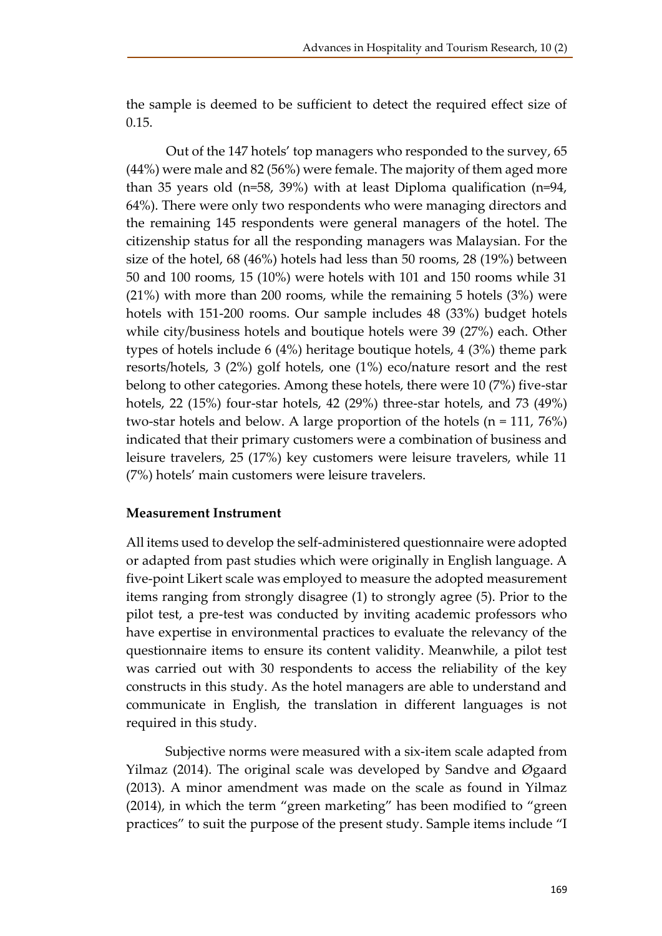the sample is deemed to be sufficient to detect the required effect size of 0.15.

Out of the 147 hotels' top managers who responded to the survey, 65 (44%) were male and 82 (56%) were female. The majority of them aged more than 35 years old (n=58, 39%) with at least Diploma qualification (n=94, 64%). There were only two respondents who were managing directors and the remaining 145 respondents were general managers of the hotel. The citizenship status for all the responding managers was Malaysian. For the size of the hotel, 68 (46%) hotels had less than 50 rooms, 28 (19%) between 50 and 100 rooms, 15 (10%) were hotels with 101 and 150 rooms while 31 (21%) with more than 200 rooms, while the remaining 5 hotels (3%) were hotels with 151-200 rooms. Our sample includes 48 (33%) budget hotels while city/business hotels and boutique hotels were 39 (27%) each. Other types of hotels include 6 (4%) heritage boutique hotels, 4 (3%) theme park resorts/hotels, 3 (2%) golf hotels, one (1%) eco/nature resort and the rest belong to other categories. Among these hotels, there were 10 (7%) five-star hotels, 22 (15%) four-star hotels, 42 (29%) three-star hotels, and 73 (49%) two-star hotels and below. A large proportion of the hotels (n = 111, 76%) indicated that their primary customers were a combination of business and leisure travelers, 25 (17%) key customers were leisure travelers, while 11 (7%) hotels' main customers were leisure travelers.

# **Measurement Instrument**

All items used to develop the self-administered questionnaire were adopted or adapted from past studies which were originally in English language. A five-point Likert scale was employed to measure the adopted measurement items ranging from strongly disagree (1) to strongly agree (5). Prior to the pilot test, a pre-test was conducted by inviting academic professors who have expertise in environmental practices to evaluate the relevancy of the questionnaire items to ensure its content validity. Meanwhile, a pilot test was carried out with 30 respondents to access the reliability of the key constructs in this study. As the hotel managers are able to understand and communicate in English, the translation in different languages is not required in this study.

Subjective norms were measured with a six-item scale adapted from Yilmaz (2014). The original scale was developed by Sandve and Øgaard (2013). A minor amendment was made on the scale as found in Yilmaz (2014), in which the term "green marketing" has been modified to "green practices" to suit the purpose of the present study. Sample items include "I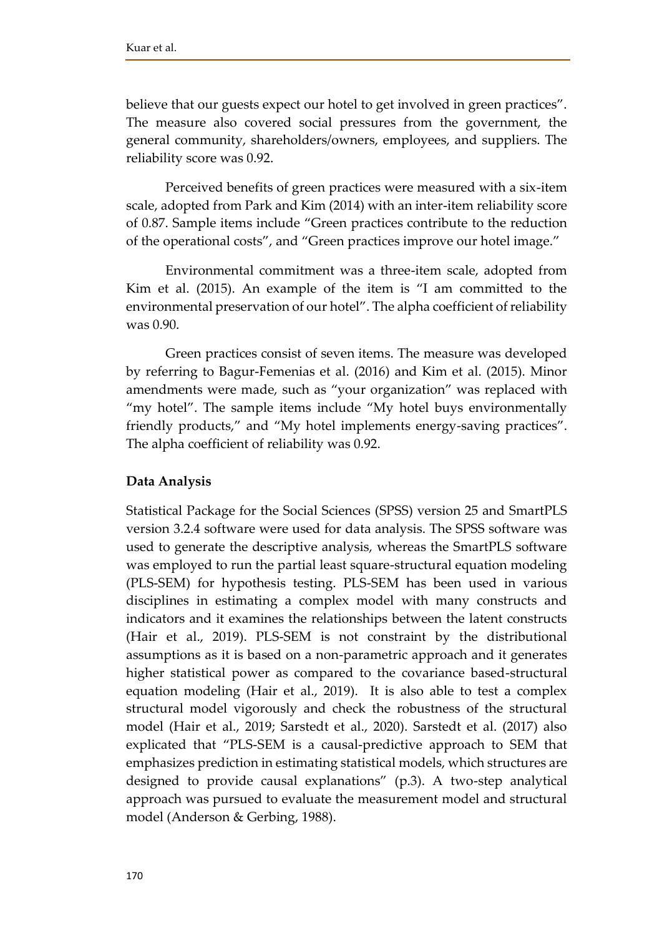believe that our guests expect our hotel to get involved in green practices". The measure also covered social pressures from the government, the general community, shareholders/owners, employees, and suppliers. The reliability score was 0.92.

Perceived benefits of green practices were measured with a six-item scale, adopted from Park and Kim (2014) with an inter-item reliability score of 0.87. Sample items include "Green practices contribute to the reduction of the operational costs", and "Green practices improve our hotel image."

Environmental commitment was a three-item scale, adopted from Kim et al. (2015). An example of the item is "I am committed to the environmental preservation of our hotel". The alpha coefficient of reliability was 0.90.

Green practices consist of seven items. The measure was developed by referring to Bagur-Femenias et al. (2016) and Kim et al. (2015). Minor amendments were made, such as "your organization" was replaced with "my hotel". The sample items include "My hotel buys environmentally friendly products," and "My hotel implements energy-saving practices". The alpha coefficient of reliability was 0.92.

# **Data Analysis**

Statistical Package for the Social Sciences (SPSS) version 25 and SmartPLS version 3.2.4 software were used for data analysis. The SPSS software was used to generate the descriptive analysis, whereas the SmartPLS software was employed to run the partial least square-structural equation modeling (PLS-SEM) for hypothesis testing. PLS-SEM has been used in various disciplines in estimating a complex model with many constructs and indicators and it examines the relationships between the latent constructs (Hair et al., 2019). PLS-SEM is not constraint by the distributional assumptions as it is based on a non-parametric approach and it generates higher statistical power as compared to the covariance based-structural equation modeling (Hair et al., 2019). It is also able to test a complex structural model vigorously and check the robustness of the structural model (Hair et al., 2019; Sarstedt et al., 2020). Sarstedt et al. (2017) also explicated that "PLS-SEM is a causal-predictive approach to SEM that emphasizes prediction in estimating statistical models, which structures are designed to provide causal explanations" (p.3). A two-step analytical approach was pursued to evaluate the measurement model and structural model (Anderson & Gerbing, 1988).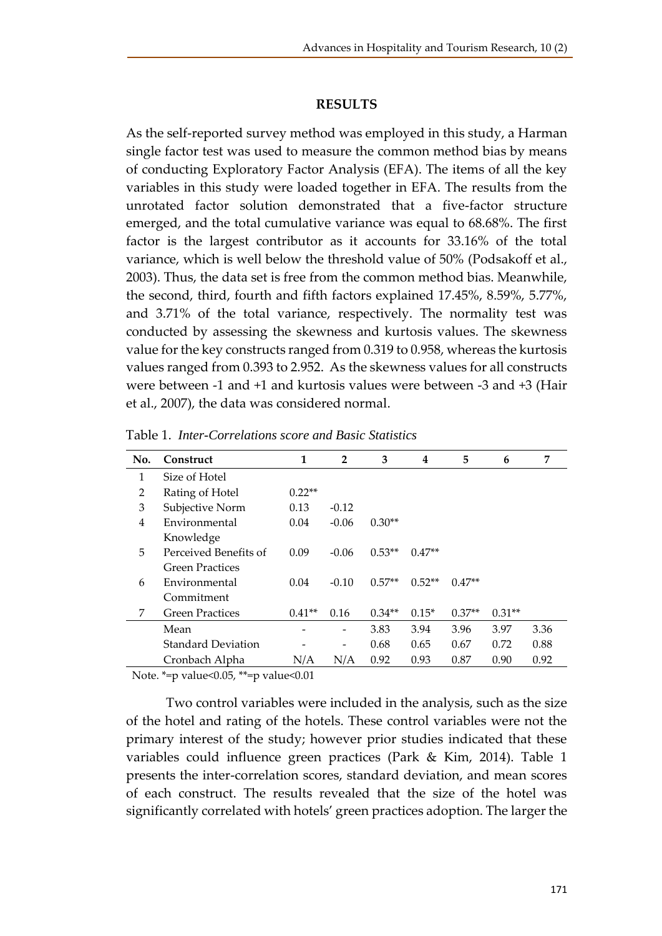#### **RESULTS**

As the self-reported survey method was employed in this study, a Harman single factor test was used to measure the common method bias by means of conducting Exploratory Factor Analysis (EFA). The items of all the key variables in this study were loaded together in EFA. The results from the unrotated factor solution demonstrated that a five-factor structure emerged, and the total cumulative variance was equal to 68.68%. The first factor is the largest contributor as it accounts for 33.16% of the total variance, which is well below the threshold value of 50% (Podsakoff et al., 2003). Thus, the data set is free from the common method bias. Meanwhile, the second, third, fourth and fifth factors explained 17.45%, 8.59%, 5.77%, and 3.71% of the total variance, respectively. The normality test was conducted by assessing the skewness and kurtosis values. The skewness value for the key constructs ranged from 0.319 to 0.958, whereas the kurtosis values ranged from 0.393 to 2.952. As the skewness values for all constructs were between -1 and +1 and kurtosis values were between -3 and +3 (Hair et al., 2007), the data was considered normal.

| No. | Construct                 | 1        | $\overline{2}$ | 3        | 4        | 5        | 6        | 7    |
|-----|---------------------------|----------|----------------|----------|----------|----------|----------|------|
| 1   | Size of Hotel             |          |                |          |          |          |          |      |
| 2   | Rating of Hotel           | $0.22**$ |                |          |          |          |          |      |
| 3   | Subjective Norm           | 0.13     | $-0.12$        |          |          |          |          |      |
| 4   | Environmental             | 0.04     | $-0.06$        | $0.30**$ |          |          |          |      |
|     | Knowledge                 |          |                |          |          |          |          |      |
| 5   | Perceived Benefits of     | 0.09     | $-0.06$        | $0.53**$ | $0.47**$ |          |          |      |
|     | <b>Green Practices</b>    |          |                |          |          |          |          |      |
| 6   | Environmental             | 0.04     | $-0.10$        | $0.57**$ | $0.52**$ | $0.47**$ |          |      |
|     | Commitment                |          |                |          |          |          |          |      |
| 7   | <b>Green Practices</b>    | $0.41**$ | 0.16           | $0.34**$ | $0.15*$  | $0.37**$ | $0.31**$ |      |
|     | Mean                      |          |                | 3.83     | 3.94     | 3.96     | 3.97     | 3.36 |
|     | <b>Standard Deviation</b> |          |                | 0.68     | 0.65     | 0.67     | 0.72     | 0.88 |
|     | Cronbach Alpha            | N/A      | N/A            | 0.92     | 0.93     | 0.87     | 0.90     | 0.92 |

Table 1. *Inter-Correlations score and Basic Statistics*

Note. \*=p value<0.05, \*\*=p value<0.01

Two control variables were included in the analysis, such as the size of the hotel and rating of the hotels. These control variables were not the primary interest of the study; however prior studies indicated that these variables could influence green practices (Park & Kim, 2014). Table 1 presents the inter-correlation scores, standard deviation, and mean scores of each construct. The results revealed that the size of the hotel was significantly correlated with hotels' green practices adoption. The larger the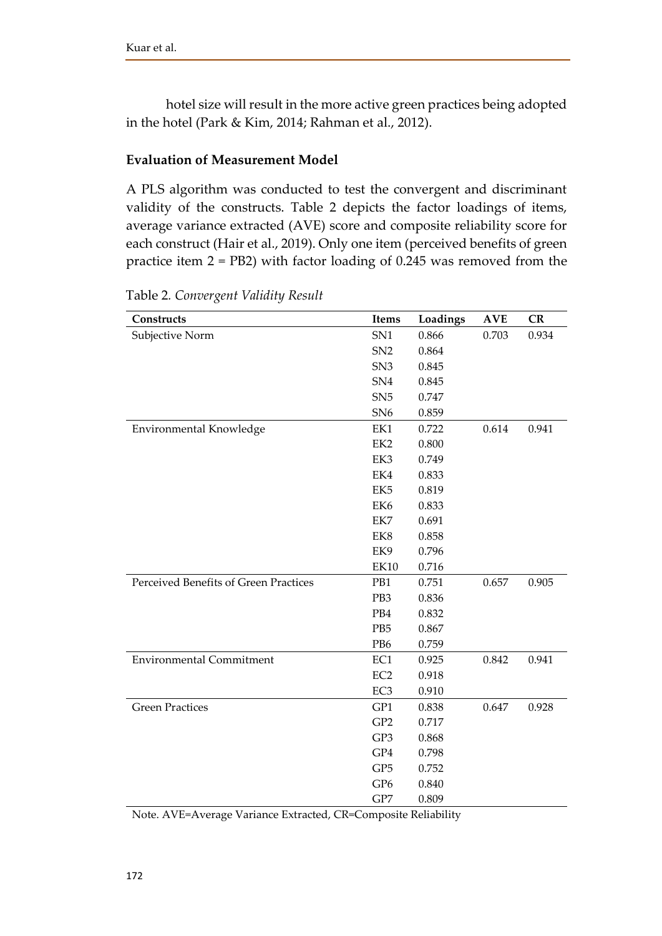hotel size will result in the more active green practices being adopted in the hotel (Park & Kim, 2014; Rahman et al., 2012).

## **Evaluation of Measurement Model**

A PLS algorithm was conducted to test the convergent and discriminant validity of the constructs. Table 2 depicts the factor loadings of items, average variance extracted (AVE) score and composite reliability score for each construct (Hair et al., 2019). Only one item (perceived benefits of green practice item 2 = PB2) with factor loading of 0.245 was removed from the

| Constructs                            | Items           | Loadings | <b>AVE</b> | <b>CR</b> |
|---------------------------------------|-----------------|----------|------------|-----------|
| Subjective Norm                       | SN1             | 0.866    | 0.703      | 0.934     |
|                                       | SN <sub>2</sub> | 0.864    |            |           |
|                                       | SN <sub>3</sub> | 0.845    |            |           |
|                                       | SN <sub>4</sub> | 0.845    |            |           |
|                                       | SN5             | 0.747    |            |           |
|                                       | SN <sub>6</sub> | 0.859    |            |           |
| Environmental Knowledge               | EK1             | 0.722    | 0.614      | 0.941     |
|                                       | EK <sub>2</sub> | 0.800    |            |           |
|                                       | EK3             | 0.749    |            |           |
|                                       | EK4             | 0.833    |            |           |
|                                       | EK <sub>5</sub> | 0.819    |            |           |
|                                       | EK6             | 0.833    |            |           |
|                                       | EK7             | 0.691    |            |           |
|                                       | EK8             | 0.858    |            |           |
|                                       | EK9             | 0.796    |            |           |
|                                       | EK10            | 0.716    |            |           |
| Perceived Benefits of Green Practices | PB1             | 0.751    | 0.657      | 0.905     |
|                                       | PB3             | 0.836    |            |           |
|                                       | PB4             | 0.832    |            |           |
|                                       | PB <sub>5</sub> | 0.867    |            |           |
|                                       | PB <sub>6</sub> | 0.759    |            |           |
| <b>Environmental Commitment</b>       | EC1             | 0.925    | 0.842      | 0.941     |
|                                       | EC <sub>2</sub> | 0.918    |            |           |
|                                       | EC <sub>3</sub> | 0.910    |            |           |
| <b>Green Practices</b>                | GP1             | 0.838    | 0.647      | 0.928     |
|                                       | GP <sub>2</sub> | 0.717    |            |           |
|                                       | GP3             | 0.868    |            |           |
|                                       | GP4             | 0.798    |            |           |
|                                       | GP <sub>5</sub> | 0.752    |            |           |
|                                       | GP <sub>6</sub> | 0.840    |            |           |
|                                       | GP7             | 0.809    |            |           |

Table 2*. Convergent Validity Result*

Note. AVE=Average Variance Extracted, CR=Composite Reliability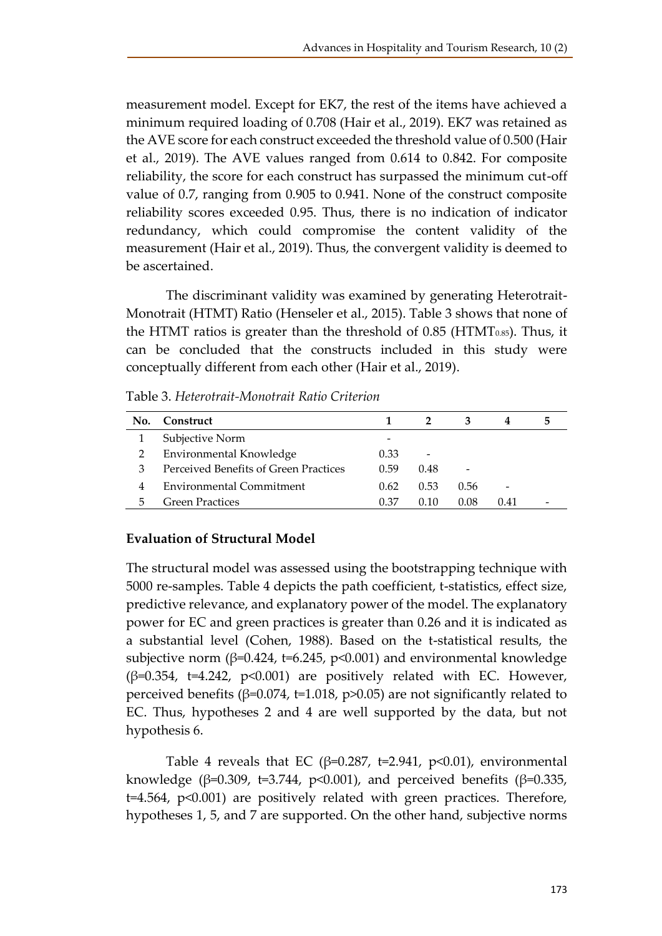measurement model. Except for EK7, the rest of the items have achieved a minimum required loading of 0.708 (Hair et al., 2019). EK7 was retained as the AVE score for each construct exceeded the threshold value of 0.500 (Hair et al., 2019). The AVE values ranged from 0.614 to 0.842. For composite reliability, the score for each construct has surpassed the minimum cut-off value of 0.7, ranging from 0.905 to 0.941. None of the construct composite reliability scores exceeded 0.95. Thus, there is no indication of indicator redundancy, which could compromise the content validity of the measurement (Hair et al., 2019). Thus, the convergent validity is deemed to be ascertained.

The discriminant validity was examined by generating Heterotrait-Monotrait (HTMT) Ratio (Henseler et al., 2015). Table 3 shows that none of the HTMT ratios is greater than the threshold of  $0.85$  (HTMT $_{0.85}$ ). Thus, it can be concluded that the constructs included in this study were conceptually different from each other (Hair et al., 2019).

| Table 3. Heterotrait-Monotrait Ratio Criterion |  |
|------------------------------------------------|--|
|                                                |  |

| No. | Construct                             |      |        |      | 4                        | э |
|-----|---------------------------------------|------|--------|------|--------------------------|---|
|     | Subjective Norm                       | -    |        |      |                          |   |
|     | Environmental Knowledge               | 0.33 |        |      |                          |   |
| З   | Perceived Benefits of Green Practices | 0.59 | 0.48   |      |                          |   |
| 4   | Environmental Commitment              | 0.62 | 0.53   | 0.56 | $\overline{\phantom{0}}$ |   |
| 5   | <b>Green Practices</b>                | 0.37 | (1.1() | 0.08 | 0.41                     |   |

# **Evaluation of Structural Model**

The structural model was assessed using the bootstrapping technique with 5000 re-samples. Table 4 depicts the path coefficient, t-statistics, effect size, predictive relevance, and explanatory power of the model. The explanatory power for EC and green practices is greater than 0.26 and it is indicated as a substantial level (Cohen, 1988). Based on the t-statistical results, the subjective norm ( $\beta$ =0.424, t=6.245, p<0.001) and environmental knowledge  $(\beta=0.354, t=4.242, p<0.001)$  are positively related with EC. However, perceived benefits ( $β=0.074$ ,  $t=1.018$ ,  $p>0.05$ ) are not significantly related to EC. Thus, hypotheses 2 and 4 are well supported by the data, but not hypothesis 6.

Table 4 reveals that EC ( $\beta$ =0.287, t=2.941, p<0.01), environmental knowledge ( $\beta$ =0.309, t=3.744, p<0.001), and perceived benefits ( $\beta$ =0.335, t=4.564, p<0.001) are positively related with green practices. Therefore, hypotheses 1, 5, and 7 are supported. On the other hand, subjective norms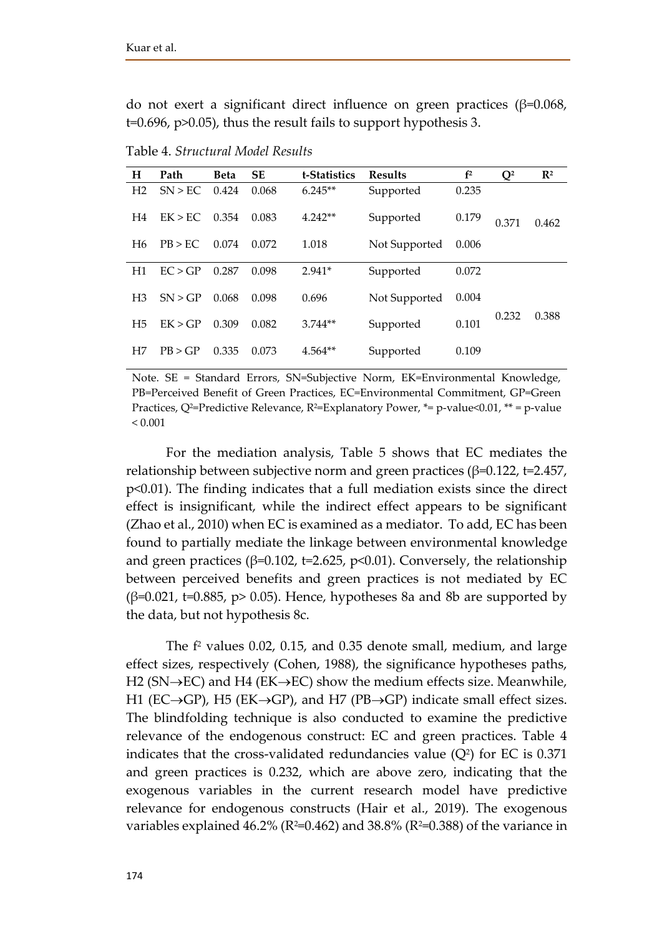do not exert a significant direct influence on green practices (β=0.068, t=0.696, p>0.05), thus the result fails to support hypothesis 3.

| H              | Path    | <b>Beta</b> | <b>SE</b> | t-Statistics | <b>Results</b>         | f <sup>2</sup> | $Q^2$ | $\mathbb{R}^2$ |
|----------------|---------|-------------|-----------|--------------|------------------------|----------------|-------|----------------|
| H <sub>2</sub> | SN > EC | 0.424       | 0.068     | $6.245**$    | Supported              | 0.235          |       |                |
| H <sub>4</sub> | EK > EC | 0.354       | 0.083     | $4.242**$    | Supported              | 0.179          | 0.371 | 0.462          |
| H <sub>6</sub> | PB > EC | 0.074       | 0.072     | 1.018        | Not Supported          |                |       |                |
| H1             | EC > GP | 0.287       | 0.098     | $2.941*$     | Supported              | 0.072          |       |                |
| H <sub>3</sub> | SN > GP | 0.068       | 0.098     | 0.696        | Not Supported<br>0.004 |                |       |                |
| H <sub>5</sub> | EK > GP | 0.309       | 0.082     | $3.744**$    | Supported              | 0.101          | 0.232 | 0.388          |
| H7             | PB > GP | 0.335       | 0.073     | $4.564**$    | Supported              | 0.109          |       |                |
|                |         |             |           |              |                        |                |       |                |

Table 4. *Structural Model Results*

Note. SE = Standard Errors, SN=Subjective Norm, EK=Environmental Knowledge, PB=Perceived Benefit of Green Practices, EC=Environmental Commitment, GP=Green Practices,  $Q^2$ =Predictive Relevance,  $R^2$ =Explanatory Power,  $*$ = p-value<0.01,  $**$  = p-value  $< 0.001$ 

For the mediation analysis, Table 5 shows that EC mediates the relationship between subjective norm and green practices ( $\beta$ =0.122, t=2.457, p<0.01). The finding indicates that a full mediation exists since the direct effect is insignificant, while the indirect effect appears to be significant (Zhao et al., 2010) when EC is examined as a mediator. To add, EC has been found to partially mediate the linkage between environmental knowledge and green practices ( $\beta$ =0.102, t=2.625, p<0.01). Conversely, the relationship between perceived benefits and green practices is not mediated by EC (β=0.021, t=0.885, p> 0.05). Hence, hypotheses 8a and 8b are supported by the data, but not hypothesis 8c.

The  $f<sup>2</sup>$  values 0.02, 0.15, and 0.35 denote small, medium, and large effect sizes, respectively (Cohen, 1988), the significance hypotheses paths, H2 (SN $\rightarrow$ EC) and H4 (EK $\rightarrow$ EC) show the medium effects size. Meanwhile, H1 (EC $\rightarrow$ GP), H5 (EK $\rightarrow$ GP), and H7 (PB $\rightarrow$ GP) indicate small effect sizes. The blindfolding technique is also conducted to examine the predictive relevance of the endogenous construct: EC and green practices. Table 4 indicates that the cross-validated redundancies value  $(Q<sup>2</sup>)$  for EC is 0.371 and green practices is 0.232, which are above zero, indicating that the exogenous variables in the current research model have predictive relevance for endogenous constructs (Hair et al., 2019). The exogenous variables explained 46.2% ( $R^2=0.462$ ) and 38.8% ( $R^2=0.388$ ) of the variance in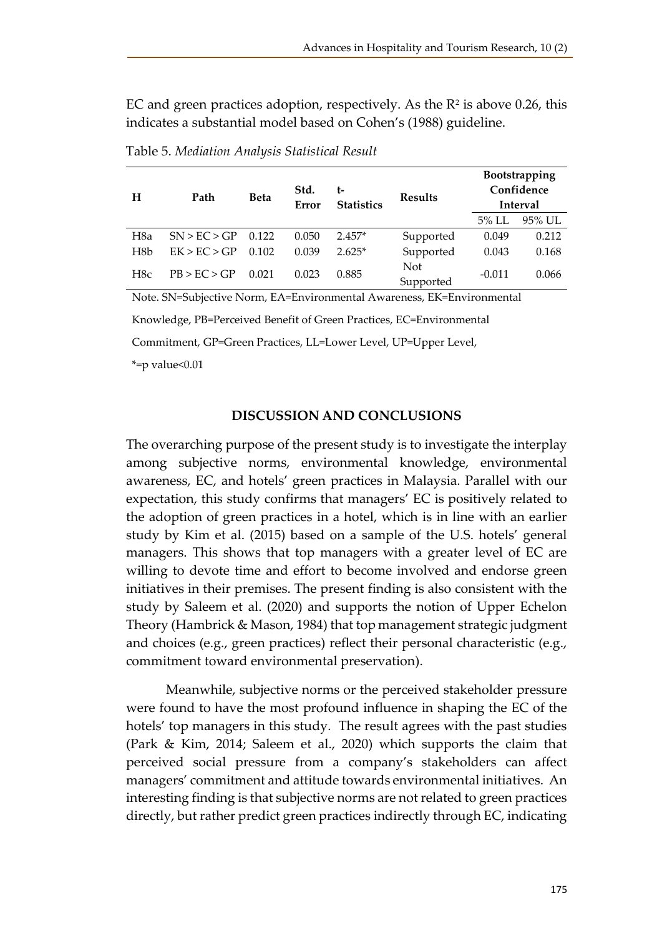EC and green practices adoption, respectively. As the  $\mathbb{R}^2$  is above 0.26, this indicates a substantial model based on Cohen's (1988) guideline.

| Н                | Path         | <b>Beta</b> | Std.<br>Error | t-<br><b>Statistics</b> | <b>Results</b>   |          | Bootstrapping<br>Confidence<br>Interval |
|------------------|--------------|-------------|---------------|-------------------------|------------------|----------|-----------------------------------------|
|                  |              |             |               |                         |                  | $5\%$ LL | 95% UL                                  |
| H <sub>8</sub> a | SN > EC > GP | 0.122       | 0.050         | $2.457*$                | Supported        | 0.049    | 0.212                                   |
| H <sub>8</sub> b | EK > EC > GP | 0.102       | 0.039         | $2.625*$                | Supported        | 0.043    | 0.168                                   |
| H <sub>8c</sub>  | PB > EC > GP | 0.021       | 0.023         | 0.885                   | Not<br>Supported | $-0.011$ | 0.066                                   |

Table 5. *Mediation Analysis Statistical Result*

Note. SN=Subjective Norm, EA=Environmental Awareness, EK=Environmental

Knowledge, PB=Perceived Benefit of Green Practices, EC=Environmental

Commitment, GP=Green Practices, LL=Lower Level, UP=Upper Level,

 $*$ =p value< $0.01$ 

#### **DISCUSSION AND CONCLUSIONS**

The overarching purpose of the present study is to investigate the interplay among subjective norms, environmental knowledge, environmental awareness, EC, and hotels' green practices in Malaysia. Parallel with our expectation, this study confirms that managers' EC is positively related to the adoption of green practices in a hotel, which is in line with an earlier study by Kim et al. (2015) based on a sample of the U.S. hotels' general managers. This shows that top managers with a greater level of EC are willing to devote time and effort to become involved and endorse green initiatives in their premises. The present finding is also consistent with the study by Saleem et al. (2020) and supports the notion of Upper Echelon Theory (Hambrick & Mason, 1984) that top management strategic judgment and choices (e.g., green practices) reflect their personal characteristic (e.g., commitment toward environmental preservation).

Meanwhile, subjective norms or the perceived stakeholder pressure were found to have the most profound influence in shaping the EC of the hotels' top managers in this study. The result agrees with the past studies (Park & Kim, 2014; Saleem et al., 2020) which supports the claim that perceived social pressure from a company's stakeholders can affect managers' commitment and attitude towards environmental initiatives. An interesting finding is that subjective norms are not related to green practices directly, but rather predict green practices indirectly through EC, indicating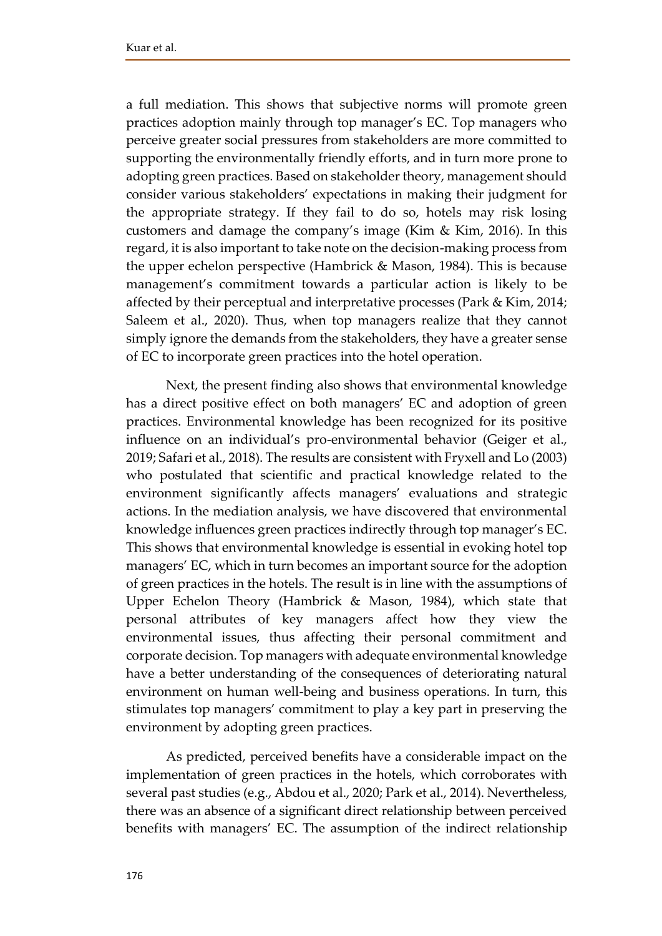a full mediation. This shows that subjective norms will promote green practices adoption mainly through top manager's EC. Top managers who perceive greater social pressures from stakeholders are more committed to supporting the environmentally friendly efforts, and in turn more prone to adopting green practices. Based on stakeholder theory, management should consider various stakeholders' expectations in making their judgment for the appropriate strategy. If they fail to do so, hotels may risk losing customers and damage the company's image (Kim & Kim, 2016). In this regard, it is also important to take note on the decision-making process from the upper echelon perspective (Hambrick & Mason, 1984). This is because management's commitment towards a particular action is likely to be affected by their perceptual and interpretative processes (Park & Kim, 2014; Saleem et al., 2020). Thus, when top managers realize that they cannot simply ignore the demands from the stakeholders, they have a greater sense of EC to incorporate green practices into the hotel operation.

Next, the present finding also shows that environmental knowledge has a direct positive effect on both managers' EC and adoption of green practices. Environmental knowledge has been recognized for its positive influence on an individual's pro-environmental behavior (Geiger et al., 2019; Safari et al., 2018). The results are consistent with Fryxell and Lo (2003) who postulated that scientific and practical knowledge related to the environment significantly affects managers' evaluations and strategic actions. In the mediation analysis, we have discovered that environmental knowledge influences green practices indirectly through top manager's EC. This shows that environmental knowledge is essential in evoking hotel top managers' EC, which in turn becomes an important source for the adoption of green practices in the hotels. The result is in line with the assumptions of Upper Echelon Theory (Hambrick & Mason, 1984), which state that personal attributes of key managers affect how they view the environmental issues, thus affecting their personal commitment and corporate decision. Top managers with adequate environmental knowledge have a better understanding of the consequences of deteriorating natural environment on human well-being and business operations. In turn, this stimulates top managers' commitment to play a key part in preserving the environment by adopting green practices.

As predicted, perceived benefits have a considerable impact on the implementation of green practices in the hotels, which corroborates with several past studies (e.g., Abdou et al., 2020; Park et al., 2014). Nevertheless, there was an absence of a significant direct relationship between perceived benefits with managers' EC. The assumption of the indirect relationship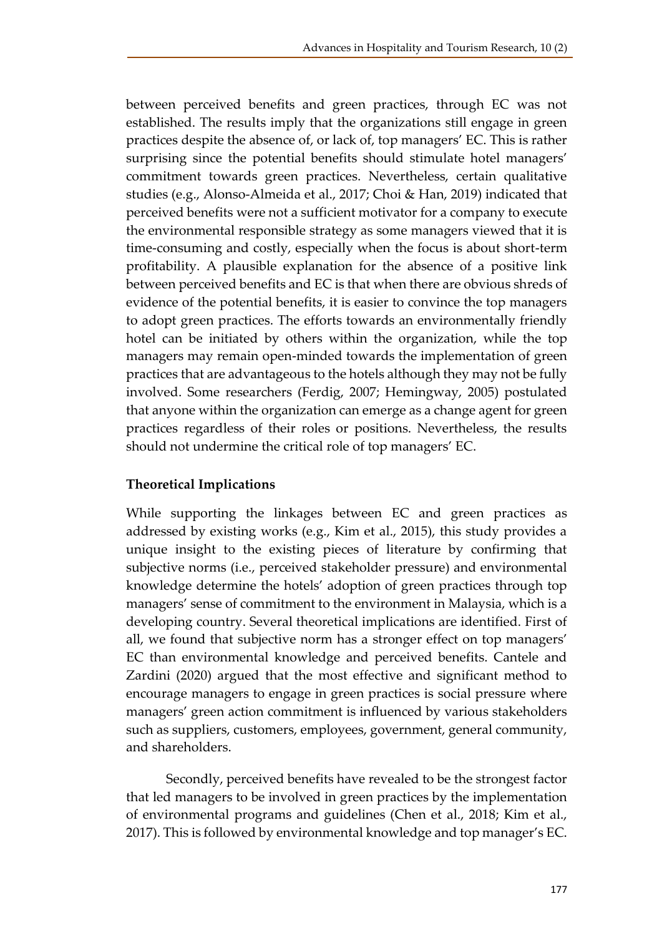between perceived benefits and green practices, through EC was not established. The results imply that the organizations still engage in green practices despite the absence of, or lack of, top managers' EC. This is rather surprising since the potential benefits should stimulate hotel managers' commitment towards green practices. Nevertheless, certain qualitative studies (e.g., Alonso-Almeida et al., 2017; Choi & Han, 2019) indicated that perceived benefits were not a sufficient motivator for a company to execute the environmental responsible strategy as some managers viewed that it is time-consuming and costly, especially when the focus is about short-term profitability. A plausible explanation for the absence of a positive link between perceived benefits and EC is that when there are obvious shreds of evidence of the potential benefits, it is easier to convince the top managers to adopt green practices. The efforts towards an environmentally friendly hotel can be initiated by others within the organization, while the top managers may remain open-minded towards the implementation of green practices that are advantageous to the hotels although they may not be fully involved. Some researchers (Ferdig, 2007; Hemingway, 2005) postulated that anyone within the organization can emerge as a change agent for green practices regardless of their roles or positions. Nevertheless, the results should not undermine the critical role of top managers' EC.

# **Theoretical Implications**

While supporting the linkages between EC and green practices as addressed by existing works (e.g., Kim et al., 2015), this study provides a unique insight to the existing pieces of literature by confirming that subjective norms (i.e., perceived stakeholder pressure) and environmental knowledge determine the hotels' adoption of green practices through top managers' sense of commitment to the environment in Malaysia, which is a developing country. Several theoretical implications are identified. First of all, we found that subjective norm has a stronger effect on top managers' EC than environmental knowledge and perceived benefits. Cantele and Zardini (2020) argued that the most effective and significant method to encourage managers to engage in green practices is social pressure where managers' green action commitment is influenced by various stakeholders such as suppliers, customers, employees, government, general community, and shareholders.

Secondly, perceived benefits have revealed to be the strongest factor that led managers to be involved in green practices by the implementation of environmental programs and guidelines (Chen et al., 2018; Kim et al., 2017). This is followed by environmental knowledge and top manager's EC.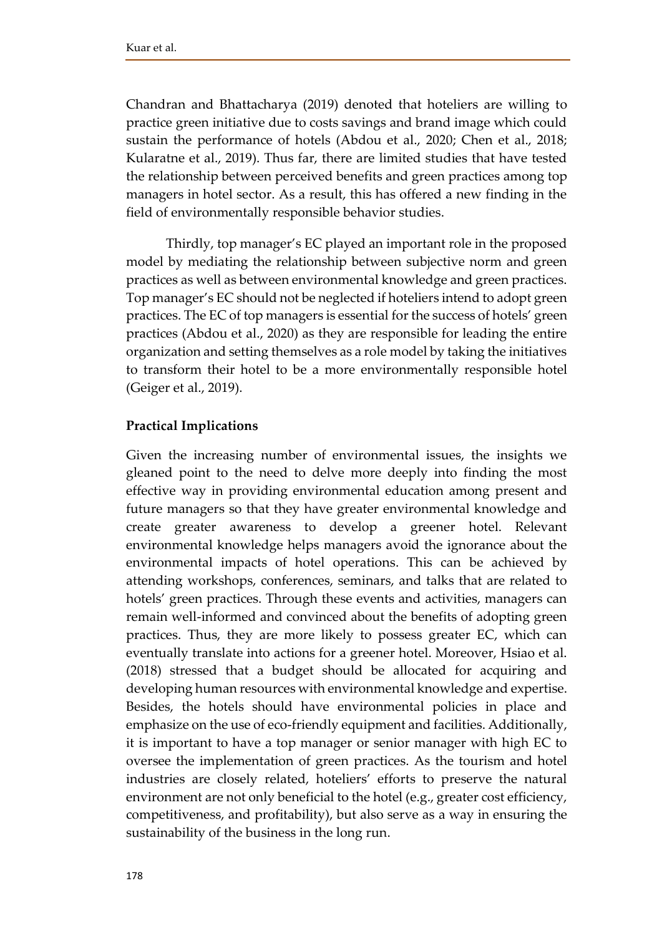Chandran and Bhattacharya (2019) denoted that hoteliers are willing to practice green initiative due to costs savings and brand image which could sustain the performance of hotels (Abdou et al., 2020; Chen et al., 2018; Kularatne et al., 2019). Thus far, there are limited studies that have tested the relationship between perceived benefits and green practices among top managers in hotel sector. As a result, this has offered a new finding in the field of environmentally responsible behavior studies.

Thirdly, top manager's EC played an important role in the proposed model by mediating the relationship between subjective norm and green practices as well as between environmental knowledge and green practices. Top manager's EC should not be neglected if hoteliers intend to adopt green practices. The EC of top managers is essential for the success of hotels' green practices (Abdou et al., 2020) as they are responsible for leading the entire organization and setting themselves as a role model by taking the initiatives to transform their hotel to be a more environmentally responsible hotel (Geiger et al., 2019).

## **Practical Implications**

Given the increasing number of environmental issues, the insights we gleaned point to the need to delve more deeply into finding the most effective way in providing environmental education among present and future managers so that they have greater environmental knowledge and create greater awareness to develop a greener hotel. Relevant environmental knowledge helps managers avoid the ignorance about the environmental impacts of hotel operations. This can be achieved by attending workshops, conferences, seminars, and talks that are related to hotels' green practices. Through these events and activities, managers can remain well-informed and convinced about the benefits of adopting green practices. Thus, they are more likely to possess greater EC, which can eventually translate into actions for a greener hotel. Moreover, Hsiao et al. (2018) stressed that a budget should be allocated for acquiring and developing human resources with environmental knowledge and expertise. Besides, the hotels should have environmental policies in place and emphasize on the use of eco-friendly equipment and facilities. Additionally, it is important to have a top manager or senior manager with high EC to oversee the implementation of green practices. As the tourism and hotel industries are closely related, hoteliers' efforts to preserve the natural environment are not only beneficial to the hotel (e.g., greater cost efficiency, competitiveness, and profitability), but also serve as a way in ensuring the sustainability of the business in the long run.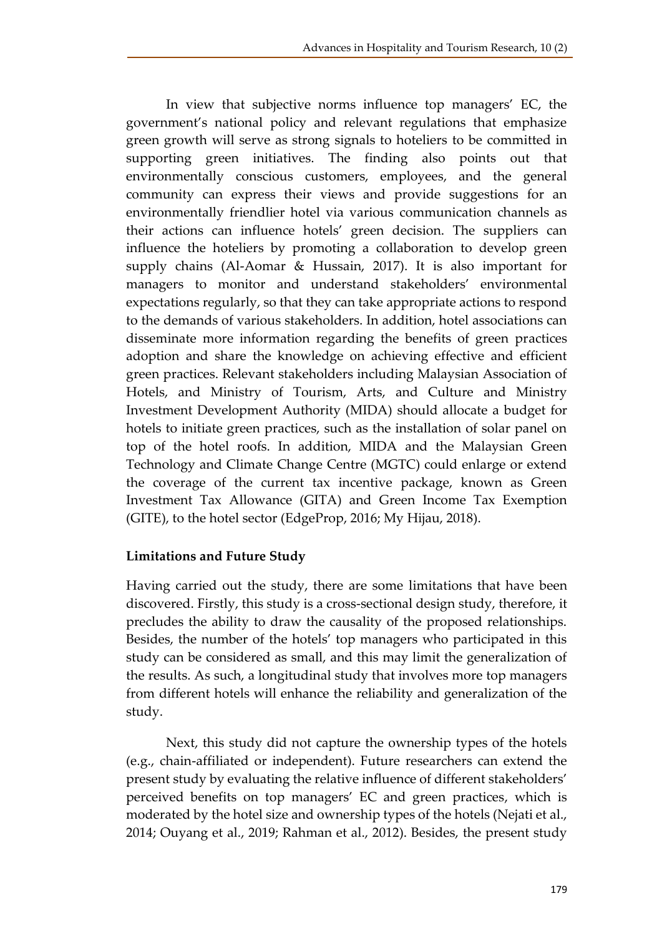In view that subjective norms influence top managers' EC, the government's national policy and relevant regulations that emphasize green growth will serve as strong signals to hoteliers to be committed in supporting green initiatives. The finding also points out that environmentally conscious customers, employees, and the general community can express their views and provide suggestions for an environmentally friendlier hotel via various communication channels as their actions can influence hotels' green decision. The suppliers can influence the hoteliers by promoting a collaboration to develop green supply chains (Al-Aomar & Hussain, 2017). It is also important for managers to monitor and understand stakeholders' environmental expectations regularly, so that they can take appropriate actions to respond to the demands of various stakeholders. In addition, hotel associations can disseminate more information regarding the benefits of green practices adoption and share the knowledge on achieving effective and efficient green practices. Relevant stakeholders including Malaysian Association of Hotels, and Ministry of Tourism, Arts, and Culture and Ministry Investment Development Authority (MIDA) should allocate a budget for hotels to initiate green practices, such as the installation of solar panel on top of the hotel roofs. In addition, MIDA and the Malaysian Green Technology and Climate Change Centre (MGTC) could enlarge or extend the coverage of the current tax incentive package, known as Green Investment Tax Allowance (GITA) and Green Income Tax Exemption (GITE), to the hotel sector (EdgeProp, 2016; My Hijau, 2018).

### **Limitations and Future Study**

Having carried out the study, there are some limitations that have been discovered. Firstly, this study is a cross-sectional design study, therefore, it precludes the ability to draw the causality of the proposed relationships. Besides, the number of the hotels' top managers who participated in this study can be considered as small, and this may limit the generalization of the results. As such, a longitudinal study that involves more top managers from different hotels will enhance the reliability and generalization of the study.

Next, this study did not capture the ownership types of the hotels (e.g., chain-affiliated or independent). Future researchers can extend the present study by evaluating the relative influence of different stakeholders' perceived benefits on top managers' EC and green practices, which is moderated by the hotel size and ownership types of the hotels (Nejati et al., 2014; Ouyang et al., 2019; Rahman et al., 2012). Besides, the present study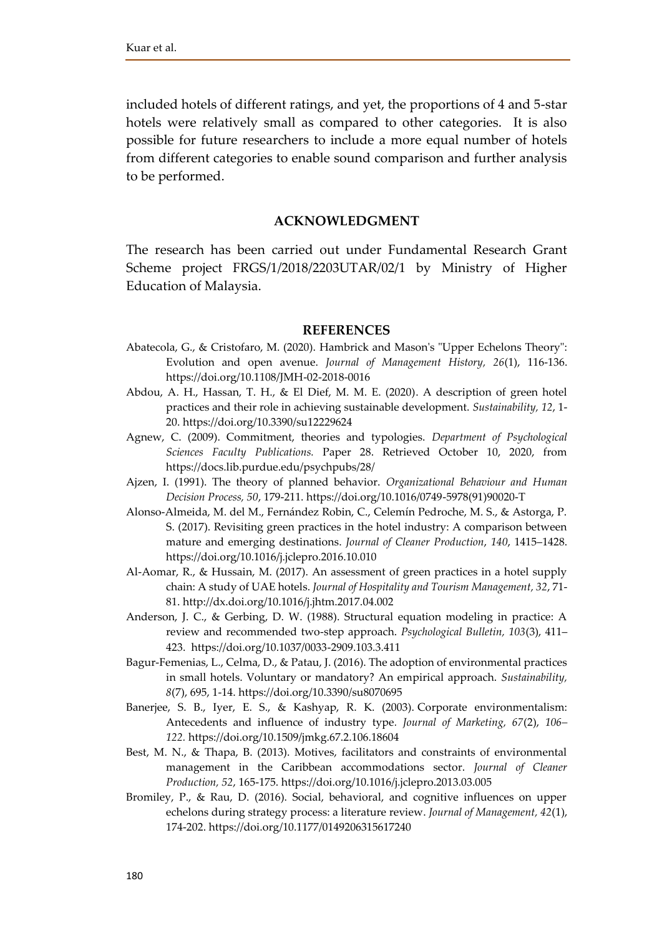included hotels of different ratings, and yet, the proportions of 4 and 5-star hotels were relatively small as compared to other categories. It is also possible for future researchers to include a more equal number of hotels from different categories to enable sound comparison and further analysis to be performed.

#### **ACKNOWLEDGMENT**

The research has been carried out under Fundamental Research Grant Scheme project FRGS/1/2018/2203UTAR/02/1 by Ministry of Higher Education of Malaysia.

#### **REFERENCES**

- Abatecola, G., & Cristofaro, M. (2020). Hambrick and Mason's "Upper Echelons Theory": Evolution and open avenue. *Journal of Management History, 26*(1), 116-136. https://doi.org/10.1108/JMH-02-2018-0016
- Abdou, A. H., Hassan, T. H., & El Dief, M. M. E. (2020). A description of green hotel practices and their role in achieving sustainable development. *Sustainability, 12*, 1- 20. https://doi.org/10.3390/su12229624
- Agnew, C. (2009). Commitment, theories and typologies. *Department of Psychological Sciences Faculty Publications.* Paper 28. Retrieved October 10, 2020, from https://docs.lib.purdue.edu/psychpubs/28/
- Ajzen, I. (1991). The theory of planned behavior. *Organizational Behaviour and Human Decision Process, 50*, 179-211. https://doi.org/10.1016/0749-5978(91)90020-T
- Alonso-Almeida, M. del M., Fernández Robin, C., Celemín Pedroche, M. S., & Astorga, P. S. (2017). Revisiting green practices in the hotel industry: A comparison between mature and emerging destinations. *Journal of Cleaner Production*, *140*, 1415–1428. https://doi.org/10.1016/j.jclepro.2016.10.010
- Al-Aomar, R., & Hussain, M. (2017). An assessment of green practices in a hotel supply chain: A study of UAE hotels. *Journal of Hospitality and Tourism Management, 32*, 71- 81. http://dx.doi.org/10.1016/j.jhtm.2017.04.002
- Anderson, J. C., & Gerbing, D. W. (1988). Structural equation modeling in practice: A review and recommended two-step approach. *Psychological Bulletin, 103*(3), 411– 423. https://doi.org/10.1037/0033-2909.103.3.411
- Bagur-Femenias, L., Celma, D., & Patau, J. (2016). The adoption of environmental practices in small hotels. Voluntary or mandatory? An empirical approach. *Sustainability, 8*(7), 695, 1-14. https://doi.org/10.3390/su8070695
- Banerjee, S. B., Iyer, E. S., & Kashyap, R. K. (2003). Corporate environmentalism: Antecedents and influence of industry type*. Journal of Marketing, 67*(2), *106– 122.* https://doi.org/10.1509/jmkg.67.2.106.18604
- Best, M. N., & Thapa, B. (2013). Motives, facilitators and constraints of environmental management in the Caribbean accommodations sector. *Journal of Cleaner Production, 52*, 165-175. https://doi.org/10.1016/j.jclepro.2013.03.005
- Bromiley, P., & Rau, D. (2016). Social, behavioral, and cognitive influences on upper echelons during strategy process: a literature review. *Journal of Management, 42*(1), 174-202. https://doi.org/10.1177/0149206315617240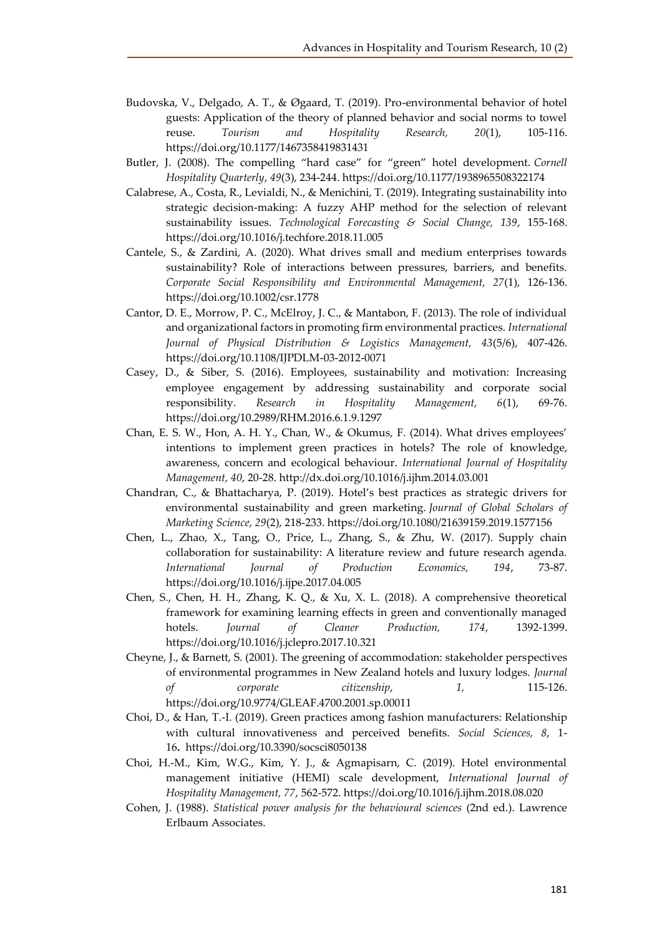- Budovska, V., Delgado, A. T., & Øgaard, T. (2019). Pro-environmental behavior of hotel guests: Application of the theory of planned behavior and social norms to towel reuse. *Tourism and Hospitality Research, 20*(1), 105-116. https://doi.org/10.1177/1467358419831431
- Butler, J. (2008). The compelling "hard case" for "green" hotel development. *Cornell Hospitality Quarterly*, *49*(3), 234-244. https://doi.org/10.1177/1938965508322174
- Calabrese, A., Costa, R., Levialdi, N., & Menichini, T. (2019). Integrating sustainability into strategic decision-making: A fuzzy AHP method for the selection of relevant sustainability issues. *Technological Forecasting & Social Change, 139*, 155-168. https://doi.org/10.1016/j.techfore.2018.11.005
- Cantele, S., & Zardini, A. (2020). What drives small and medium enterprises towards sustainability? Role of interactions between pressures, barriers, and benefits. *Corporate Social Responsibility and Environmental Management, 27*(1), 126-136. https://doi.org/10.1002/csr.1778
- Cantor, D. E., Morrow, P. C., McElroy, J. C., & Mantabon, F. (2013). The role of individual and organizational factors in promoting firm environmental practices. *International Journal of Physical Distribution & Logistics Management, 43*(5/6), 407-426. https://doi.org/10.1108/IJPDLM-03-2012-0071
- Casey, D., & Siber, S. (2016). Employees, sustainability and motivation: Increasing employee engagement by addressing sustainability and corporate social responsibility. *Research in Hospitality Management, 6*(1), 69-76. https://doi.org/10.2989/RHM.2016.6.1.9.1297
- Chan, E. S. W., Hon, A. H. Y., Chan, W., & Okumus, F. (2014). What drives employees' intentions to implement green practices in hotels? The role of knowledge, awareness, concern and ecological behaviour. *International Journal of Hospitality Management, 40*, 20-28. http://dx.doi.org/10.1016/j.ijhm.2014.03.001
- Chandran, C., & Bhattacharya, P. (2019). Hotel's best practices as strategic drivers for environmental sustainability and green marketing. *Journal of Global Scholars of Marketing Science*, *29*(2), 218-233. https://doi.org/10.1080/21639159.2019.1577156
- Chen, L., Zhao, X., Tang, O., Price, L., Zhang, S., & Zhu, W. (2017). Supply chain collaboration for sustainability: A literature review and future research agenda. *International Journal of Production Economics, 194*, 73-87. https://doi.org/10.1016/j.ijpe.2017.04.005
- Chen, S., Chen, H. H., Zhang, K. Q., & Xu, X. L. (2018). A comprehensive theoretical framework for examining learning effects in green and conventionally managed hotels. *Journal of Cleaner Production, 174*, 1392-1399. https://doi.org/10.1016/j.jclepro.2017.10.321
- Cheyne, J., & Barnett, S. (2001). The greening of accommodation: stakeholder perspectives of environmental programmes in New Zealand hotels and luxury lodges. *Journal of corporate citizenship*, *1,* 115-126. https://doi.org/10.9774/GLEAF.4700.2001.sp.00011
- Choi, D., & Han, T.-I. (2019). Green practices among fashion manufacturers: Relationship with cultural innovativeness and perceived benefits. *Social Sciences, 8*, 1- 16**.** https://doi.org/10.3390/socsci8050138
- Choi, H.-M., Kim, W.G., Kim, Y. J., & Agmapisarn, C. (2019). Hotel environmental management initiative (HEMI) scale development, *International Journal of Hospitality Management, 77*, 562-572. https://doi.org/10.1016/j.ijhm.2018.08.020
- Cohen, J. (1988). *Statistical power analysis for the behavioural sciences* (2nd ed.). Lawrence Erlbaum Associates.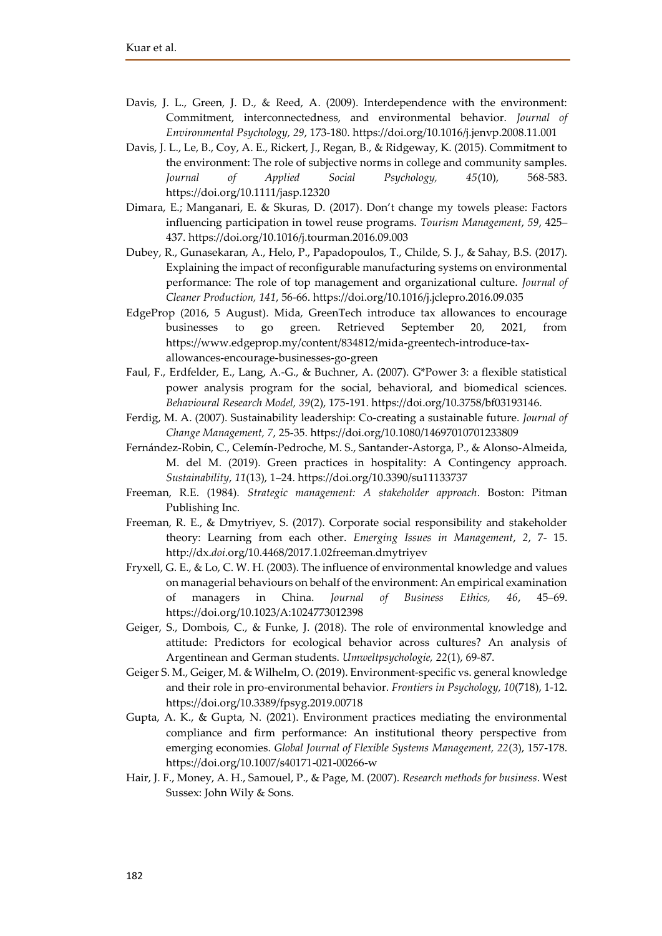- Davis, J. L., Green, J. D., & Reed, A. (2009). Interdependence with the environment: Commitment, interconnectedness, and environmental behavior. *Journal of Environmental Psychology, 29*, 173-180. https://doi.org/10.1016/j.jenvp.2008.11.001
- Davis, J. L., Le, B., Coy, A. E., Rickert, J., Regan, B., & Ridgeway, K. (2015). Commitment to the environment: The role of subjective norms in college and community samples. *Journal of Applied Social Psychology, 45*(10), 568-583. https://doi.org/10.1111/jasp.12320
- Dimara, E.; Manganari, E. & Skuras, D. (2017). Don't change my towels please: Factors influencing participation in towel reuse programs. *Tourism Management*, *59*, 425– 437. https://doi.org/10.1016/j.tourman.2016.09.003
- Dubey, R., Gunasekaran, A., Helo, P., Papadopoulos, T., Childe, S. J., & Sahay, B.S. (2017). Explaining the impact of reconfigurable manufacturing systems on environmental performance: The role of top management and organizational culture. *Journal of Cleaner Production, 141*, 56-66. https://doi.org/10.1016/j.jclepro.2016.09.035
- EdgeProp (2016, 5 August). Mida, GreenTech introduce tax allowances to encourage businesses to go green. Retrieved September 20, 2021, from https://www.edgeprop.my/content/834812/mida-greentech-introduce-taxallowances-encourage-businesses-go-green
- Faul, F., Erdfelder, E., Lang, A.-G., & Buchner, A. (2007). G\*Power 3: a flexible statistical power analysis program for the social, behavioral, and biomedical sciences. *Behavioural Research Model, 39*(2), 175-191. https://doi.org/10.3758/bf03193146.
- Ferdig, M. A. (2007). Sustainability leadership: Co-creating a sustainable future. *Journal of Change Management, 7*, 25-35. https://doi.org/10.1080/14697010701233809
- Fernández-Robin, C., Celemín-Pedroche, M. S., Santander-Astorga, P., & Alonso-Almeida, M. del M. (2019). Green practices in hospitality: A Contingency approach. *Sustainability*, *11*(13), 1–24. https://doi.org/10.3390/su11133737
- Freeman, R.E. (1984). *Strategic management: A stakeholder approach*. Boston: Pitman Publishing Inc.
- Freeman, R. E., & Dmytriyev, S. (2017). Corporate social responsibility and stakeholder theory: Learning from each other. *Emerging Issues in Management*, *2*, 7- 15. http://dx.*doi*.org/10.4468/2017.1.02freeman.dmytriyev
- Fryxell, G. E., & Lo, C. W. H. (2003). The influence of environmental knowledge and values on managerial behaviours on behalf of the environment: An empirical examination of managers in China. *Journal of Business Ethics, 46*, 45–69. https://doi.org/10.1023/A:1024773012398
- Geiger, S., Dombois, C., & Funke, J. (2018). The role of environmental knowledge and attitude: Predictors for ecological behavior across cultures? An analysis of Argentinean and German students. *Umweltpsychologie, 22*(1), 69-87.
- Geiger S. M., Geiger, M. & Wilhelm, O. (2019). Environment-specific vs. general knowledge and their role in pro-environmental behavior. *Frontiers in Psychology, 10*(718), 1-12. https://doi.org/10.3389/fpsyg.2019.00718
- Gupta, A. K., & Gupta, N. (2021). Environment practices mediating the environmental compliance and firm performance: An institutional theory perspective from emerging economies. *Global Journal of Flexible Systems Management, 22*(3), 157-178. https://doi.org/10.1007/s40171-021-00266-w
- Hair, J. F., Money, A. H., Samouel, P., & Page, M. (2007). *Research methods for business*. West Sussex: John Wily & Sons.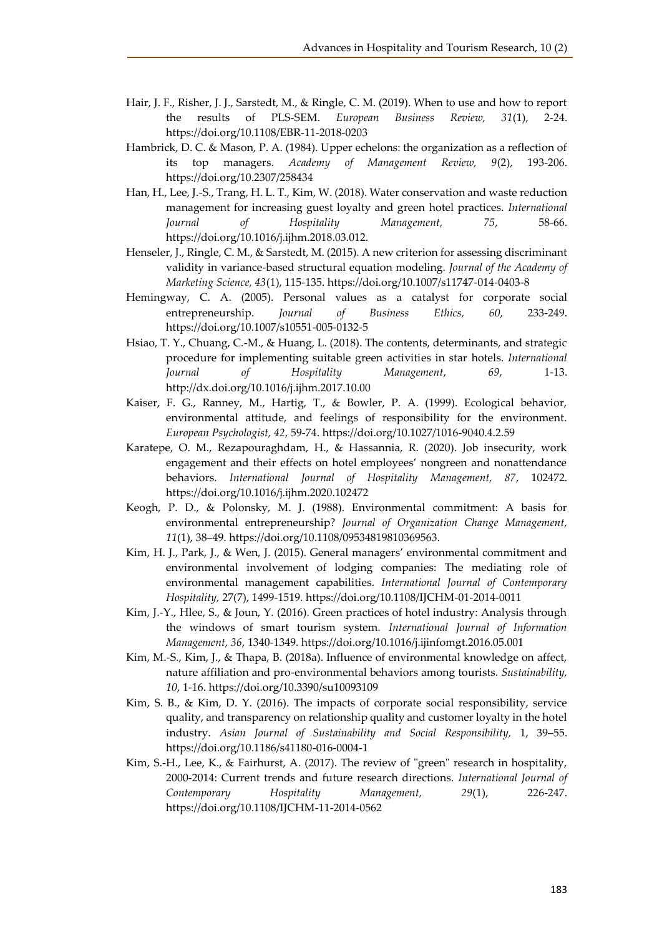- Hair, J. F., Risher, J. J., Sarstedt, M., & Ringle, C. M. (2019). When to use and how to report the results of PLS-SEM. *European Business Review, 31*(1), 2-24. https://doi.org/10.1108/EBR-11-2018-0203
- Hambrick, D. C. & Mason, P. A. (1984). Upper echelons: the organization as a reflection of its top managers. *Academy of Management Review, 9*(2), 193-206. https://doi.org/10.2307/258434
- Han, H., Lee, J.-S., Trang, H. L. T., Kim, W. (2018). Water conservation and waste reduction management for increasing guest loyalty and green hotel practices. *International Journal of Hospitality Management, 75*, 58-66. https://doi.org/10.1016/j.ijhm.2018.03.012.
- Henseler, J., Ringle, C. M., & Sarstedt, M. (2015). A new criterion for assessing discriminant validity in variance-based structural equation modeling. *Journal of the Academy of Marketing Science, 43*(1), 115-135. https://doi.org/10.1007/s11747-014-0403-8
- Hemingway, C. A. (2005). Personal values as a catalyst for corporate social entrepreneurship. *Journal of Business Ethics, 60*, 233-249. https://doi.org/10.1007/s10551-005-0132-5
- Hsiao, T. Y., Chuang, C.-M., & Huang, L. (2018). The contents, determinants, and strategic procedure for implementing suitable green activities in star hotels. *International Journal of Hospitality Management*, *69*, 1-13. http://dx.doi.org/10.1016/j.ijhm.2017.10.00
- Kaiser, F. G., Ranney, M., Hartig, T., & Bowler, P. A. (1999). Ecological behavior, environmental attitude, and feelings of responsibility for the environment. *European Psychologist, 42*, 59-74. https://doi.org/10.1027/1016-9040.4.2.59
- Karatepe, O. M., Rezapouraghdam, H., & Hassannia, R. (2020). Job insecurity, work engagement and their effects on hotel employees' nongreen and nonattendance behaviors. *International Journal of Hospitality Management, 87*, 102472. https://doi.org/10.1016/j.ijhm.2020.102472
- Keogh, P. D., & Polonsky, M. J. (1988). Environmental commitment: A basis for environmental entrepreneurship? *Journal of Organization Change Management, 11*(1), 38–49. https://doi.org/10.1108/09534819810369563.
- Kim, H. J., Park, J., & Wen, J. (2015). General managers' environmental commitment and environmental involvement of lodging companies: The mediating role of environmental management capabilities. *International Journal of Contemporary Hospitality,* 27(7), 1499-1519. https://doi.org/10.1108/IJCHM-01-2014-0011
- Kim, J.-Y., Hlee, S., & Joun, Y. (2016). Green practices of hotel industry: Analysis through the windows of smart tourism system. *International Journal of Information Management, 36*, 1340-1349. https://doi.org/10.1016/j.ijinfomgt.2016.05.001
- Kim, M.-S., Kim, J., & Thapa, B. (2018a). Influence of environmental knowledge on affect, nature affiliation and pro-environmental behaviors among tourists. *Sustainability, 10*, 1-16. https://doi.org/10.3390/su10093109
- Kim, S. B., & Kim, D. Y. (2016). The impacts of corporate social responsibility, service quality, and transparency on relationship quality and customer loyalty in the hotel industry. *Asian Journal of Sustainability and Social Responsibility,* 1, 39–55. https://doi.org/10.1186/s41180-016-0004-1
- Kim, S.-H., Lee, K., & Fairhurst, A. (2017). The review of "green" research in hospitality, 2000-2014: Current trends and future research directions. *International Journal of Contemporary Hospitality Management, 29*(1), 226-247. https://doi.org/10.1108/IJCHM-11-2014-0562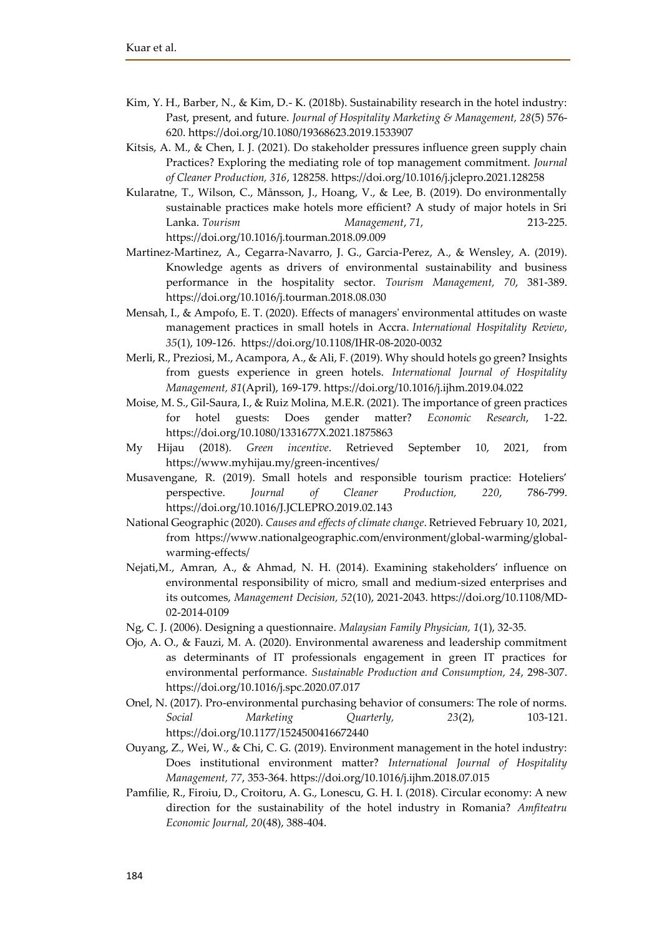- Kim, Y. H., Barber, N., & Kim, D.- K. (2018b). Sustainability research in the hotel industry: Past, present, and future. *Journal of Hospitality Marketing & Management, 28*(5) 576- 620. https://doi.org/10.1080/19368623.2019.1533907
- Kitsis, A. M., & Chen, I. J. (2021). Do stakeholder pressures influence green supply chain Practices? Exploring the mediating role of top management commitment. *Journal of Cleaner Production, 316*, 128258. https://doi.org/10.1016/j.jclepro.2021.128258
- Kularatne, T., Wilson, C., Månsson, J., Hoang, V., & Lee, B. (2019). Do environmentally sustainable practices make hotels more efficient? A study of major hotels in Sri Lanka. *Tourism Management*, *71*, 213-225. https://doi.org/10.1016/j.tourman.2018.09.009
- Martinez-Martinez, A., Cegarra-Navarro, J. G., Garcia-Perez, A., & Wensley, A. (2019). Knowledge agents as drivers of environmental sustainability and business performance in the hospitality sector. *Tourism Management, 70*, 381-389. https://doi.org/10.1016/j.tourman.2018.08.030
- Mensah, I., & Ampofo, E. T. (2020). Effects of managers' environmental attitudes on waste management practices in small hotels in Accra. *International Hospitality Review*, *35*(1), 109-126. https://doi.org/10.1108/IHR-08-2020-0032
- Merli, R., Preziosi, M., Acampora, A., & Ali, F. (2019). Why should hotels go green? Insights from guests experience in green hotels. *International Journal of Hospitality Management, 81*(April), 169-179. https://doi.org/10.1016/j.ijhm.2019.04.022
- Moise, M. S., Gil-Saura, I., & Ruiz Molina, M.E.R. (2021). The importance of green practices for hotel guests: Does gender matter? *Economic Research*, 1-22. https://doi.org/10.1080/1331677X.2021.1875863
- My Hijau (2018). *Green incentive*. Retrieved September 10, 2021, from https://www.myhijau.my/green-incentives/
- Musavengane, R. (2019). Small hotels and responsible tourism practice: Hoteliers' perspective. *Journal of Cleaner Production, 220*, 786-799. https://doi.org/10.1016/J.JCLEPRO.2019.02.143
- National Geographic (2020). *Causes and effects of climate change*. Retrieved February 10, 2021, from https://www.nationalgeographic.com/environment/global-warming/globalwarming-effects/
- Nejati,M., Amran, A., & Ahmad, N. H. (2014). Examining stakeholders' influence on environmental responsibility of micro, small and medium-sized enterprises and its outcomes, *Management Decision, 52*(10), 2021-2043. https://doi.org/10.1108/MD-02-2014-0109
- Ng, C. J. (2006). Designing a questionnaire. *Malaysian Family Physician, 1*(1), 32-35.
- Ojo, A. O., & Fauzi, M. A. (2020). Environmental awareness and leadership commitment as determinants of IT professionals engagement in green IT practices for environmental performance. *Sustainable Production and Consumption, 24*, 298-307. https://doi.org/10.1016/j.spc.2020.07.017
- Onel, N. (2017). Pro-environmental purchasing behavior of consumers: The role of norms. *Social Marketing Quarterly, 23*(2), 103-121. https://doi.org/10.1177/1524500416672440
- Ouyang, Z., Wei, W., & Chi, C. G. (2019). Environment management in the hotel industry: Does institutional environment matter? *International Journal of Hospitality Management, 77*, 353-364. https://doi.org/10.1016/j.ijhm.2018.07.015
- Pamfilie, R., Firoiu, D., Croitoru, A. G., Lonescu, G. H. I. (2018). Circular economy: A new direction for the sustainability of the hotel industry in Romania? *Amfiteatru Economic Journal, 20*(48), 388-404.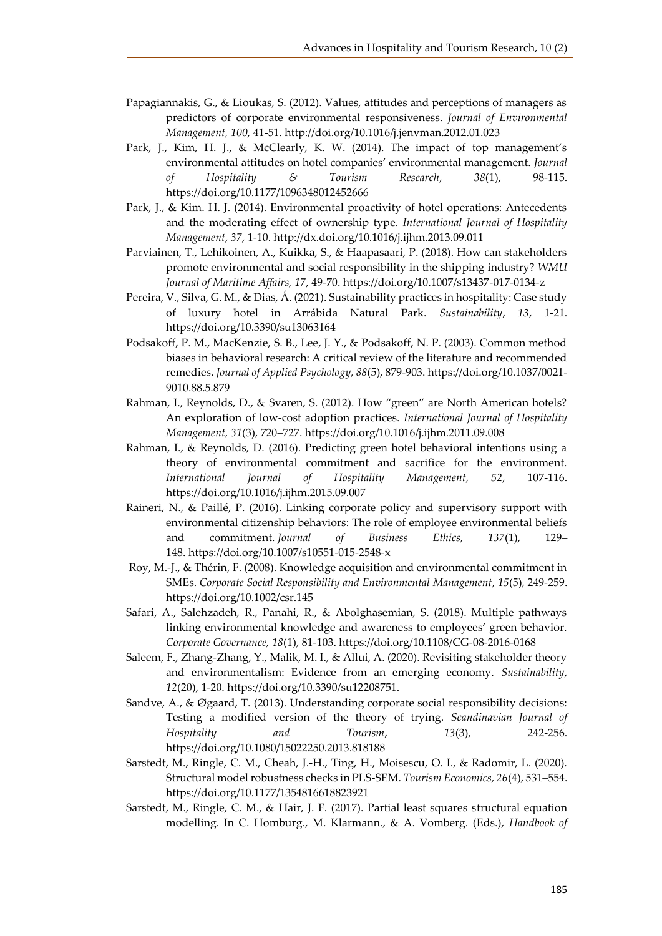- Papagiannakis, G., & Lioukas, S. (2012). Values, attitudes and perceptions of managers as predictors of corporate environmental responsiveness. *Journal of Environmental Management, 100,* 41-51. http://doi.org/10.1016/j.jenvman.2012.01.023
- Park, J., Kim, H. J., & McClearly, K. W. (2014). The impact of top management's environmental attitudes on hotel companies' environmental management. *Journal of Hospitality & Tourism Research*, *38*(1), 98-115. https://doi.org/10.1177/1096348012452666
- Park, J., & Kim. H. J. (2014). Environmental proactivity of hotel operations: Antecedents and the moderating effect of ownership type. *International Journal of Hospitality Management*, *37*, 1-10. http://dx.doi.org/10.1016/j.ijhm.2013.09.011
- Parviainen, T., Lehikoinen, A., Kuikka, S., & Haapasaari, P. (2018). How can stakeholders promote environmental and social responsibility in the shipping industry? *WMU Journal of Maritime Affairs, 17*, 49-70. https://doi.org/10.1007/s13437-017-0134-z
- Pereira, V., Silva, G. M., & Dias, Á. (2021). Sustainability practices in hospitality: Case study of luxury hotel in Arrábida Natural Park. *Sustainability*, *13*, 1-21. https://doi.org/10.3390/su13063164
- Podsakoff, P. M., MacKenzie, S. B., Lee, J. Y., & Podsakoff, N. P. (2003). Common method biases in behavioral research: A critical review of the literature and recommended remedies. *Journal of Applied Psychology, 88*(5), 879-903. https://doi.org/10.1037/0021- 9010.88.5.879
- Rahman, I., Reynolds, D., & Svaren, S. (2012). How "green" are North American hotels? An exploration of low-cost adoption practices. *International Journal of Hospitality Management, 31*(3), 720–727. https://doi.org/10.1016/j.ijhm.2011.09.008
- Rahman, I., & Reynolds, D. (2016). Predicting green hotel behavioral intentions using a theory of environmental commitment and sacrifice for the environment. *International Journal of Hospitality Management*, *52*, 107-116. https://doi.org/10.1016/j.ijhm.2015.09.007
- Raineri, N., & Paillé, P. (2016). Linking corporate policy and supervisory support with environmental citizenship behaviors: The role of employee environmental beliefs and commitment. *Journal of Business Ethics, 137*(1), 129– 148. https://doi.org/10.1007/s10551-015-2548-x
- Roy, M.-J., & Thérin, F. (2008). Knowledge acquisition and environmental commitment in SMEs. *Corporate Social Responsibility and Environmental Management, 15*(5), 249-259. https://doi.org/10.1002/csr.145
- Safari, A., Salehzadeh, R., Panahi, R., & Abolghasemian, S. (2018). Multiple pathways linking environmental knowledge and awareness to employees' green behavior. *Corporate Governance, 18*(1), 81-103. https://doi.org/10.1108/CG-08-2016-0168
- Saleem, F., Zhang-Zhang, Y., Malik, M. I., & Allui, A. (2020). Revisiting stakeholder theory and environmentalism: Evidence from an emerging economy. *Sustainability*, *12*(20), 1-20. https://doi.org/10.3390/su12208751.
- Sandve, A., & Øgaard, T. (2013). Understanding corporate social responsibility decisions: Testing a modified version of the theory of trying. *Scandinavian Journal of Hospitality and Tourism*, *13*(3), 242-256. https://doi.org/10.1080/15022250.2013.818188
- Sarstedt, M., Ringle, C. M., Cheah, J.-H., Ting, H., Moisescu, O. I., & Radomir, L. (2020). Structural model robustness checks in PLS-SEM. *Tourism Economics, 26*(4), 531–554. https://doi.org/10.1177/1354816618823921
- Sarstedt, M., Ringle, C. M., & Hair, J. F. (2017). Partial least squares structural equation modelling. In C. Homburg., M. Klarmann., & A. Vomberg. (Eds.), *Handbook of*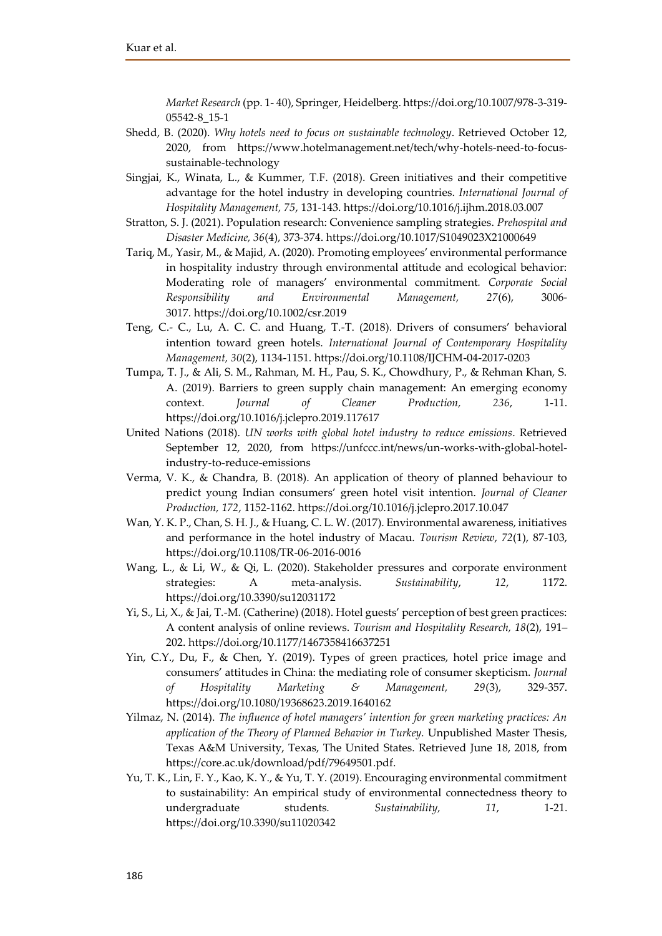*Market Research* (pp. 1- 40), Springer, Heidelberg. https://doi.org/10.1007/978-3-319- 05542-8\_15-1

- Shedd, B. (2020). *Why hotels need to focus on sustainable technology*. Retrieved October 12, 2020, from https://www.hotelmanagement.net/tech/why-hotels-need-to-focussustainable-technology
- Singjai, K., Winata, L., & Kummer, T.F. (2018). Green initiatives and their competitive advantage for the hotel industry in developing countries. *International Journal of Hospitality Management, 75*, 131-143. https://doi.org/10.1016/j.ijhm.2018.03.007
- Stratton, S. J. (2021). Population research: Convenience sampling strategies. *Prehospital and Disaster Medicine, 36*(4), 373-374. https://doi.org/10.1017/S1049023X21000649
- Tariq, M., Yasir, M., & Majid, A. (2020). Promoting employees' environmental performance in hospitality industry through environmental attitude and ecological behavior: Moderating role of managers' environmental commitment*. Corporate Social Responsibility and Environmental Management, 27*(6), 3006- 3017*.* https://doi.org/10.1002/csr.2019
- Teng, C.- C., Lu, A. C. C. and Huang, T.-T. (2018). Drivers of consumers' behavioral intention toward green hotels. *International Journal of Contemporary Hospitality Management, 30*(2), 1134-1151. https://doi.org/10.1108/IJCHM-04-2017-0203
- Tumpa, T. J., & Ali, S. M., Rahman, M. H., Pau, S. K., Chowdhury, P., & Rehman Khan, S. A. (2019). Barriers to green supply chain management: An emerging economy context. *Journal of Cleaner Production, 236*, 1-11. https://doi.org/10.1016/j.jclepro.2019.117617
- United Nations (2018). *UN works with global hotel industry to reduce emissions*. Retrieved September 12, 2020, from https://unfccc.int/news/un-works-with-global-hotelindustry-to-reduce-emissions
- Verma, V. K., & Chandra, B. (2018). An application of theory of planned behaviour to predict young Indian consumers' green hotel visit intention. *Journal of Cleaner Production, 172*, 1152-1162. https://doi.org/10.1016/j.jclepro.2017.10.047
- Wan, Y. K. P., Chan, S. H. J., & Huang, C. L. W. (2017). Environmental awareness, initiatives and performance in the hotel industry of Macau. *Tourism Review*, *72*(1), 87-103, https://doi.org/10.1108/TR-06-2016-0016
- Wang, L., & Li, W., & Qi, L. (2020). Stakeholder pressures and corporate environment strategies: A meta-analysis. *Sustainability*, *12*, 1172. https://doi.org/10.3390/su12031172
- Yi, S., Li, X., & Jai, T.-M. (Catherine) (2018). Hotel guests' perception of best green practices: A content analysis of online reviews. *Tourism and Hospitality Research, 18*(2), 191– 202. https://doi.org/10.1177/1467358416637251
- Yin, C.Y., Du, F., & Chen, Y. (2019). Types of green practices, hotel price image and consumers' attitudes in China: the mediating role of consumer skepticism. *Journal of Hospitality Marketing & Management, 29*(3), 329-357. https://doi.org/10.1080/19368623.2019.1640162
- Yilmaz, N. (2014). *The influence of hotel managers' intention for green marketing practices: An application of the Theory of Planned Behavior in Turkey.* Unpublished Master Thesis, Texas A&M University, Texas, The United States. Retrieved June 18, 2018, from https://core.ac.uk/download/pdf/79649501.pdf.
- Yu, T. K., Lin, F. Y., Kao, K. Y., & Yu, T. Y. (2019). Encouraging environmental commitment to sustainability: An empirical study of environmental connectedness theory to undergraduate students. *Sustainability, 11*, 1-21. https://doi.org/10.3390/su11020342